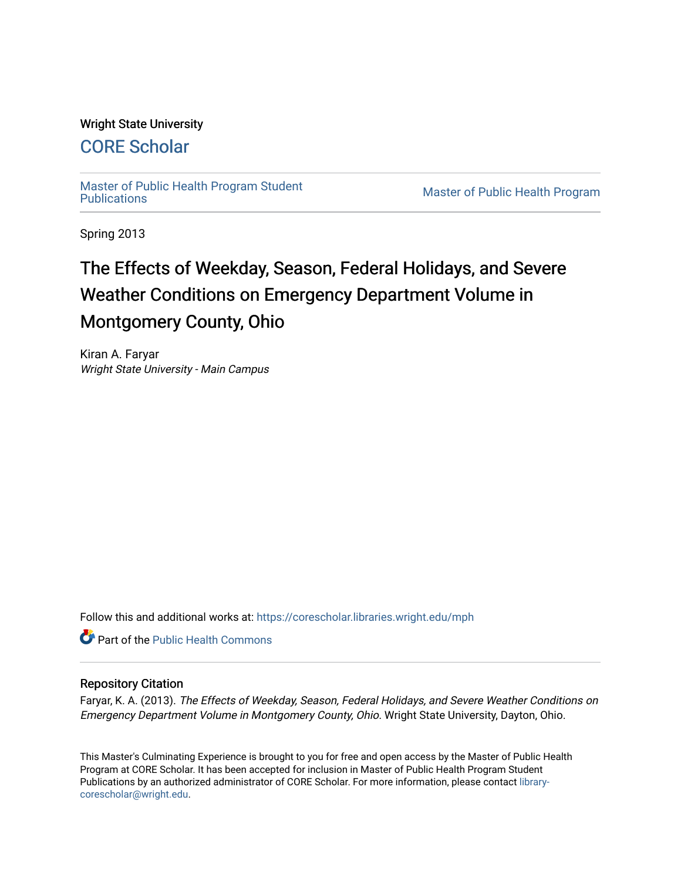## Wright State University

# [CORE Scholar](https://corescholar.libraries.wright.edu/)

[Master of Public Health Program Student](https://corescholar.libraries.wright.edu/mph)

**Master of Public Health Program** 

Spring 2013

# The Effects of Weekday, Season, Federal Holidays, and Severe Weather Conditions on Emergency Department Volume in Montgomery County, Ohio

Kiran A. Faryar Wright State University - Main Campus

Follow this and additional works at: [https://corescholar.libraries.wright.edu/mph](https://corescholar.libraries.wright.edu/mph?utm_source=corescholar.libraries.wright.edu%2Fmph%2F94&utm_medium=PDF&utm_campaign=PDFCoverPages)

**C** Part of the Public Health Commons

## Repository Citation

Faryar, K. A. (2013). The Effects of Weekday, Season, Federal Holidays, and Severe Weather Conditions on Emergency Department Volume in Montgomery County, Ohio. Wright State University, Dayton, Ohio.

This Master's Culminating Experience is brought to you for free and open access by the Master of Public Health Program at CORE Scholar. It has been accepted for inclusion in Master of Public Health Program Student Publications by an authorized administrator of CORE Scholar. For more information, please contact [library](mailto:library-corescholar@wright.edu)[corescholar@wright.edu](mailto:library-corescholar@wright.edu).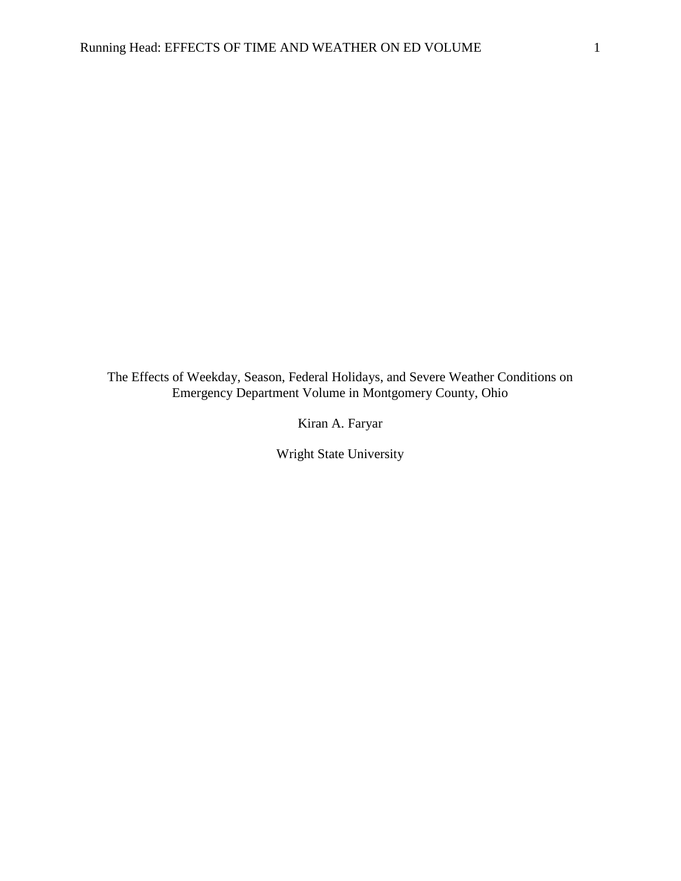The Effects of Weekday, Season, Federal Holidays, and Severe Weather Conditions on Emergency Department Volume in Montgomery County, Ohio

Kiran A. Faryar

Wright State University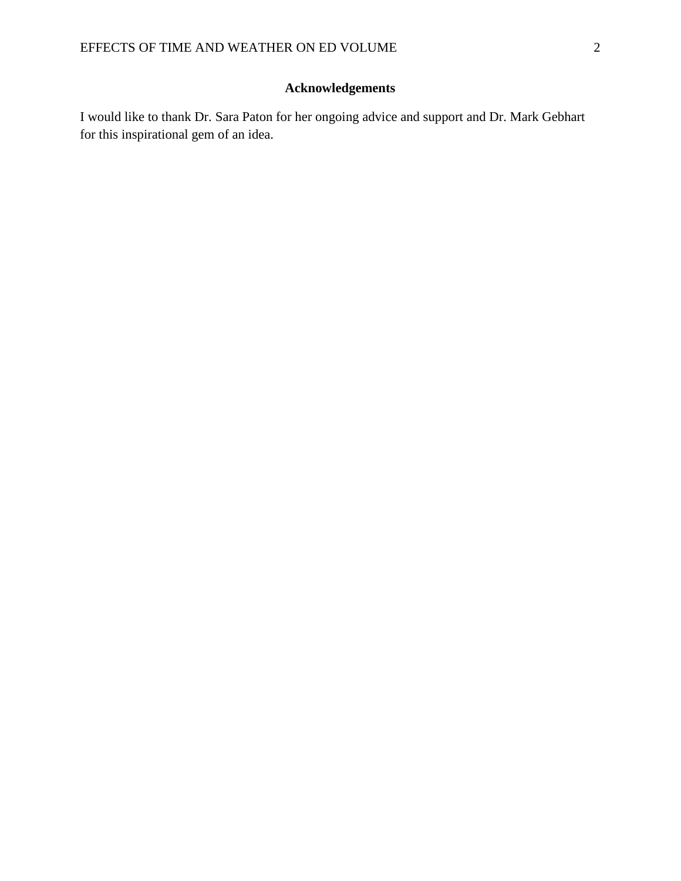## **Acknowledgements**

I would like to thank Dr. Sara Paton for her ongoing advice and support and Dr. Mark Gebhart for this inspirational gem of an idea.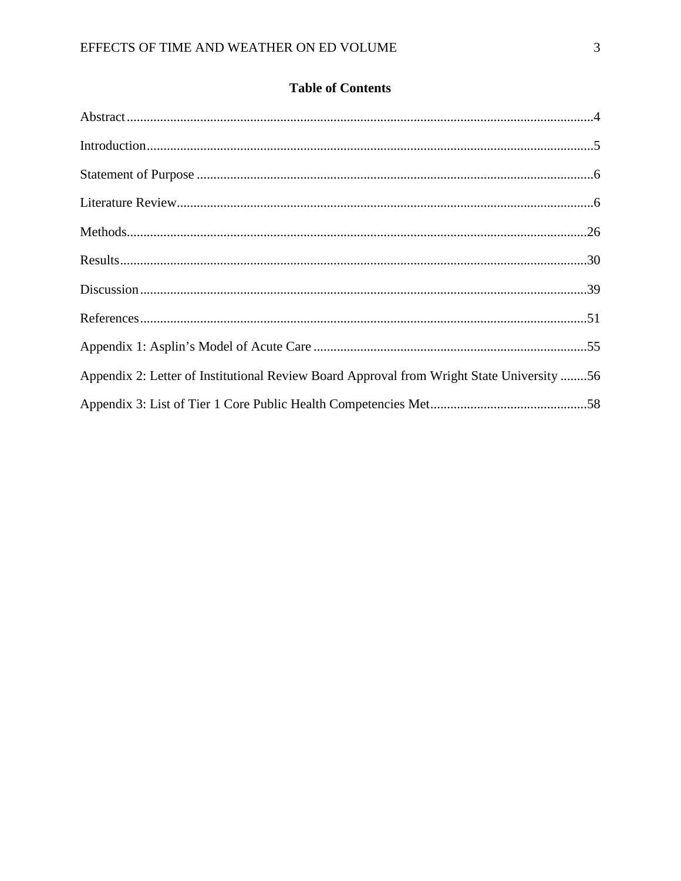| <b>Table of Contents</b> |  |
|--------------------------|--|
|--------------------------|--|

| Appendix 2: Letter of Institutional Review Board Approval from Wright State University 56 |  |
|-------------------------------------------------------------------------------------------|--|
|                                                                                           |  |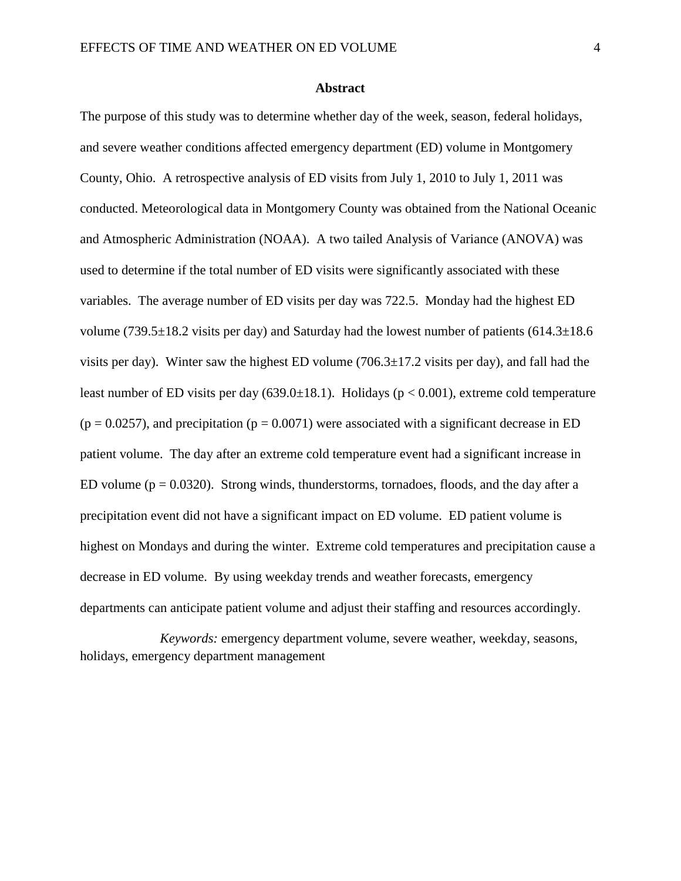#### **Abstract**

The purpose of this study was to determine whether day of the week, season, federal holidays, and severe weather conditions affected emergency department (ED) volume in Montgomery County, Ohio. A retrospective analysis of ED visits from July 1, 2010 to July 1, 2011 was conducted. Meteorological data in Montgomery County was obtained from the National Oceanic and Atmospheric Administration (NOAA). A two tailed Analysis of Variance (ANOVA) was used to determine if the total number of ED visits were significantly associated with these variables. The average number of ED visits per day was 722.5. Monday had the highest ED volume (739.5 $\pm$ 18.2 visits per day) and Saturday had the lowest number of patients (614.3 $\pm$ 18.6 visits per day). Winter saw the highest ED volume  $(706.3 \pm 17.2 \text{ visits per day})$ , and fall had the least number of ED visits per day  $(639.0\pm18.1)$ . Holidays ( $p < 0.001$ ), extreme cold temperature  $(p = 0.0257)$ , and precipitation  $(p = 0.0071)$  were associated with a significant decrease in ED patient volume. The day after an extreme cold temperature event had a significant increase in ED volume ( $p = 0.0320$ ). Strong winds, thunderstorms, tornadoes, floods, and the day after a precipitation event did not have a significant impact on ED volume. ED patient volume is highest on Mondays and during the winter. Extreme cold temperatures and precipitation cause a decrease in ED volume. By using weekday trends and weather forecasts, emergency departments can anticipate patient volume and adjust their staffing and resources accordingly.

*Keywords:* emergency department volume, severe weather, weekday, seasons, holidays, emergency department management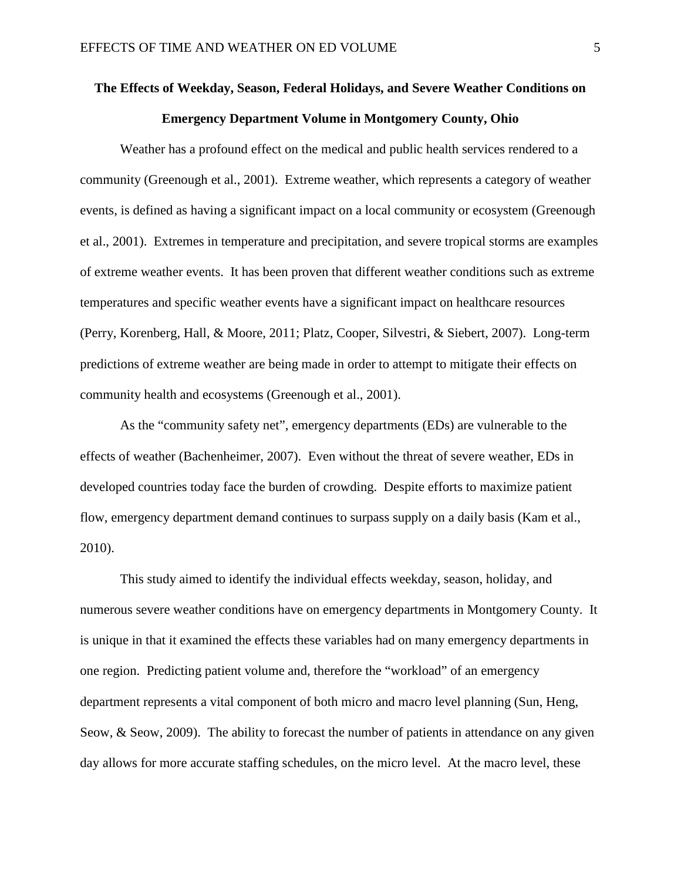# **The Effects of Weekday, Season, Federal Holidays, and Severe Weather Conditions on Emergency Department Volume in Montgomery County, Ohio**

Weather has a profound effect on the medical and public health services rendered to a community (Greenough et al., 2001). Extreme weather, which represents a category of weather events, is defined as having a significant impact on a local community or ecosystem (Greenough et al., 2001). Extremes in temperature and precipitation, and severe tropical storms are examples of extreme weather events. It has been proven that different weather conditions such as extreme temperatures and specific weather events have a significant impact on healthcare resources (Perry, Korenberg, Hall, & Moore, 2011; Platz, Cooper, Silvestri, & Siebert, 2007). Long-term predictions of extreme weather are being made in order to attempt to mitigate their effects on community health and ecosystems (Greenough et al., 2001).

As the "community safety net", emergency departments (EDs) are vulnerable to the effects of weather (Bachenheimer, 2007). Even without the threat of severe weather, EDs in developed countries today face the burden of crowding. Despite efforts to maximize patient flow, emergency department demand continues to surpass supply on a daily basis (Kam et al., 2010).

This study aimed to identify the individual effects weekday, season, holiday, and numerous severe weather conditions have on emergency departments in Montgomery County. It is unique in that it examined the effects these variables had on many emergency departments in one region. Predicting patient volume and, therefore the "workload" of an emergency department represents a vital component of both micro and macro level planning (Sun, Heng, Seow, & Seow, 2009). The ability to forecast the number of patients in attendance on any given day allows for more accurate staffing schedules, on the micro level. At the macro level, these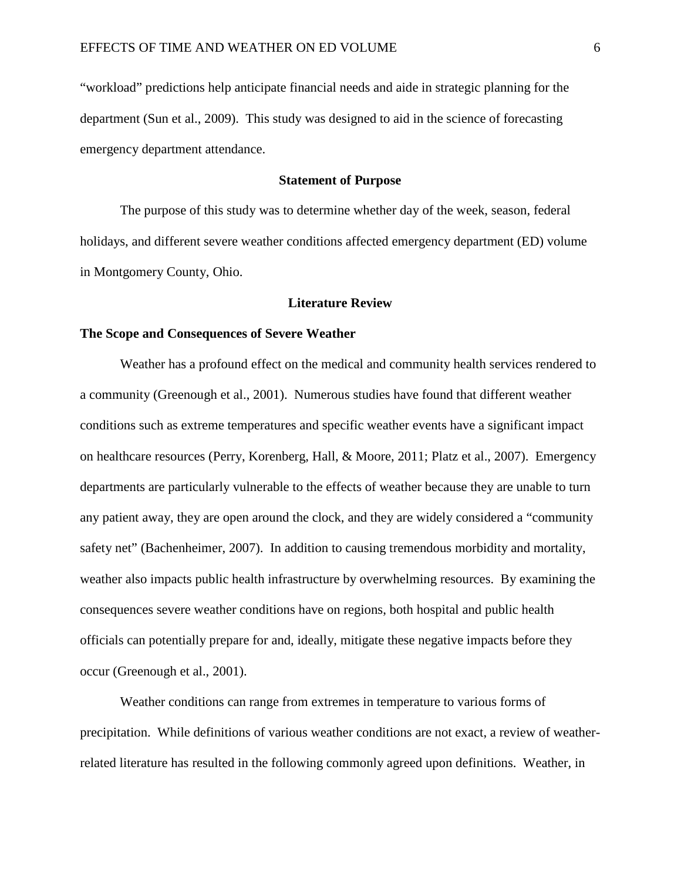"workload" predictions help anticipate financial needs and aide in strategic planning for the department (Sun et al., 2009). This study was designed to aid in the science of forecasting emergency department attendance.

## **Statement of Purpose**

The purpose of this study was to determine whether day of the week, season, federal holidays, and different severe weather conditions affected emergency department (ED) volume in Montgomery County, Ohio.

#### **Literature Review**

#### **The Scope and Consequences of Severe Weather**

Weather has a profound effect on the medical and community health services rendered to a community (Greenough et al., 2001). Numerous studies have found that different weather conditions such as extreme temperatures and specific weather events have a significant impact on healthcare resources (Perry, Korenberg, Hall, & Moore, 2011; Platz et al., 2007). Emergency departments are particularly vulnerable to the effects of weather because they are unable to turn any patient away, they are open around the clock, and they are widely considered a "community safety net" (Bachenheimer, 2007). In addition to causing tremendous morbidity and mortality, weather also impacts public health infrastructure by overwhelming resources. By examining the consequences severe weather conditions have on regions, both hospital and public health officials can potentially prepare for and, ideally, mitigate these negative impacts before they occur (Greenough et al., 2001).

Weather conditions can range from extremes in temperature to various forms of precipitation. While definitions of various weather conditions are not exact, a review of weatherrelated literature has resulted in the following commonly agreed upon definitions. Weather, in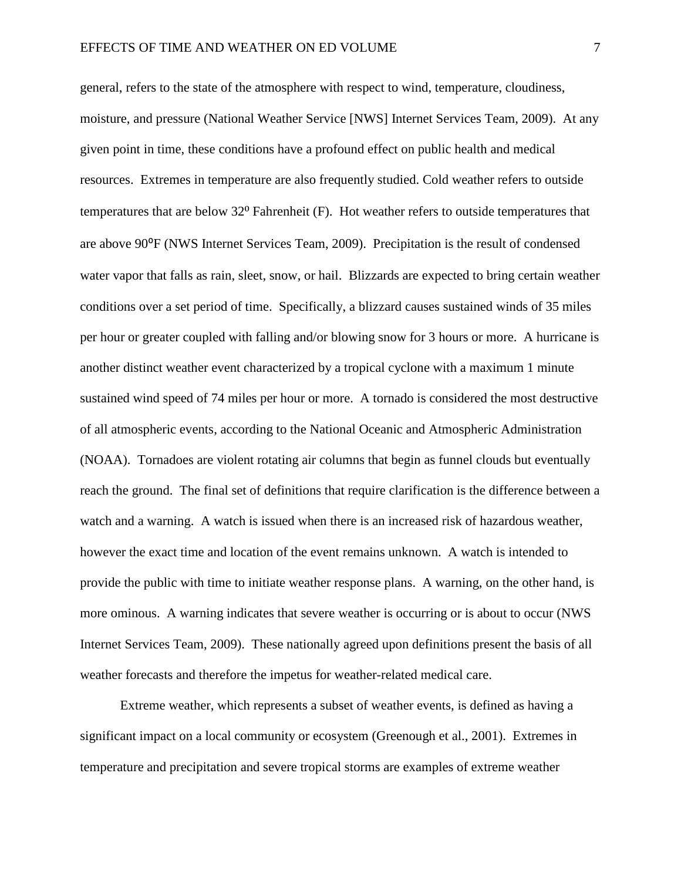general, refers to the state of the atmosphere with respect to wind, temperature, cloudiness, moisture, and pressure (National Weather Service [NWS] Internet Services Team, 2009). At any given point in time, these conditions have a profound effect on public health and medical resources. Extremes in temperature are also frequently studied. Cold weather refers to outside temperatures that are below 32<sup>°</sup> Fahrenheit (F). Hot weather refers to outside temperatures that are above 90⁰F (NWS Internet Services Team, 2009). Precipitation is the result of condensed water vapor that falls as rain, sleet, snow, or hail. Blizzards are expected to bring certain weather conditions over a set period of time. Specifically, a blizzard causes sustained winds of 35 miles per hour or greater coupled with falling and/or blowing snow for 3 hours or more. A hurricane is another distinct weather event characterized by a tropical cyclone with a maximum 1 minute sustained wind speed of 74 miles per hour or more. A tornado is considered the most destructive of all atmospheric events, according to the National Oceanic and Atmospheric Administration (NOAA). Tornadoes are violent rotating air columns that begin as funnel clouds but eventually reach the ground. The final set of definitions that require clarification is the difference between a watch and a warning. A watch is issued when there is an increased risk of hazardous weather, however the exact time and location of the event remains unknown. A watch is intended to provide the public with time to initiate weather response plans. A warning, on the other hand, is more ominous. A warning indicates that severe weather is occurring or is about to occur (NWS Internet Services Team, 2009). These nationally agreed upon definitions present the basis of all weather forecasts and therefore the impetus for weather-related medical care.

Extreme weather, which represents a subset of weather events, is defined as having a significant impact on a local community or ecosystem (Greenough et al., 2001). Extremes in temperature and precipitation and severe tropical storms are examples of extreme weather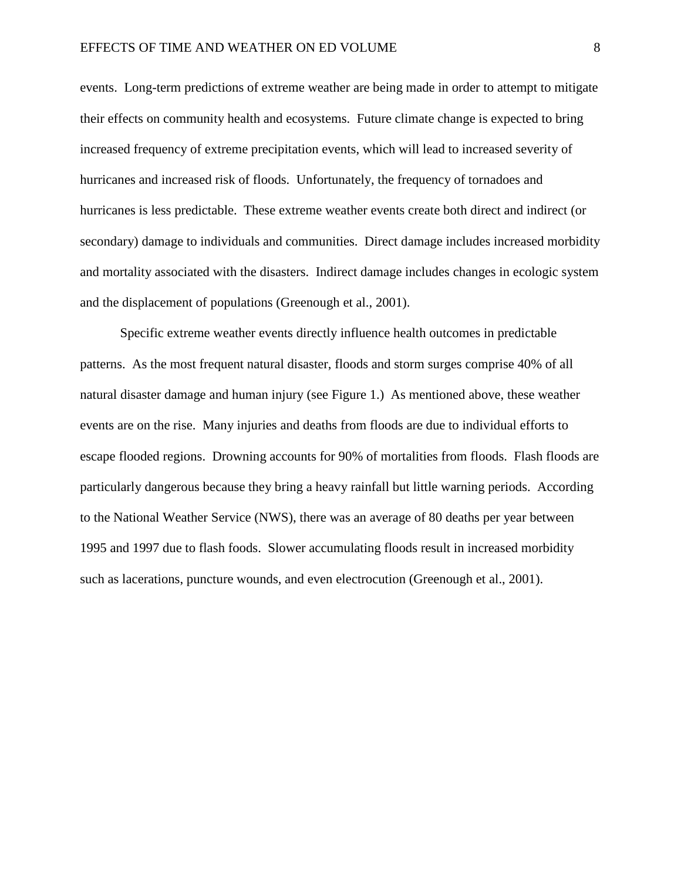events. Long-term predictions of extreme weather are being made in order to attempt to mitigate their effects on community health and ecosystems. Future climate change is expected to bring increased frequency of extreme precipitation events, which will lead to increased severity of hurricanes and increased risk of floods. Unfortunately, the frequency of tornadoes and hurricanes is less predictable. These extreme weather events create both direct and indirect (or secondary) damage to individuals and communities. Direct damage includes increased morbidity and mortality associated with the disasters. Indirect damage includes changes in ecologic system and the displacement of populations (Greenough et al., 2001).

Specific extreme weather events directly influence health outcomes in predictable patterns. As the most frequent natural disaster, floods and storm surges comprise 40% of all natural disaster damage and human injury (see Figure 1.) As mentioned above, these weather events are on the rise. Many injuries and deaths from floods are due to individual efforts to escape flooded regions. Drowning accounts for 90% of mortalities from floods. Flash floods are particularly dangerous because they bring a heavy rainfall but little warning periods. According to the National Weather Service (NWS), there was an average of 80 deaths per year between 1995 and 1997 due to flash foods. Slower accumulating floods result in increased morbidity such as lacerations, puncture wounds, and even electrocution (Greenough et al., 2001).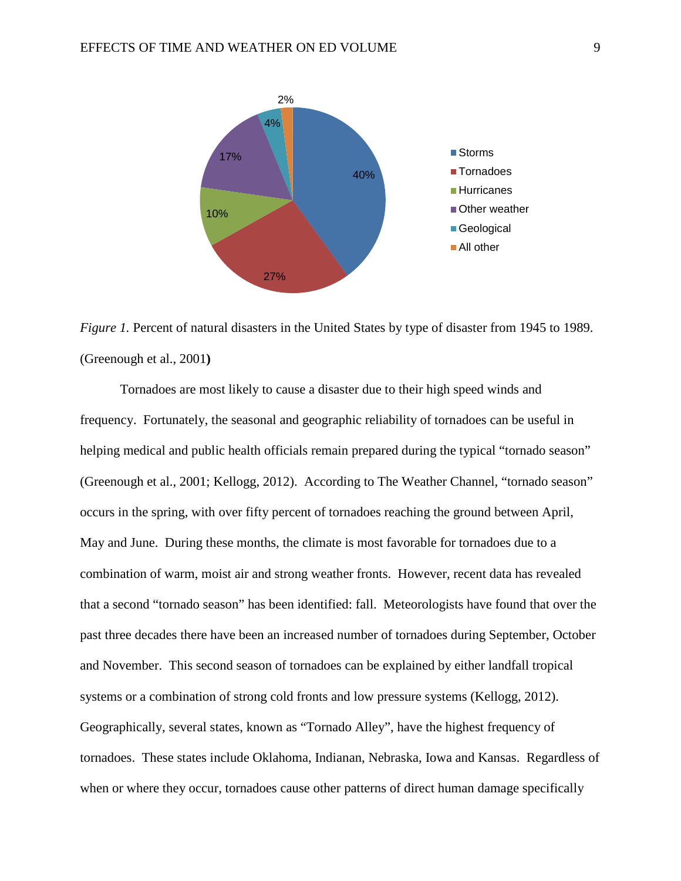

*Figure 1.* Percent of natural disasters in the United States by type of disaster from 1945 to 1989. (Greenough et al., 2001**)**

Tornadoes are most likely to cause a disaster due to their high speed winds and frequency. Fortunately, the seasonal and geographic reliability of tornadoes can be useful in helping medical and public health officials remain prepared during the typical "tornado season" (Greenough et al., 2001; Kellogg, 2012). According to The Weather Channel, "tornado season" occurs in the spring, with over fifty percent of tornadoes reaching the ground between April, May and June. During these months, the climate is most favorable for tornadoes due to a combination of warm, moist air and strong weather fronts. However, recent data has revealed that a second "tornado season" has been identified: fall. Meteorologists have found that over the past three decades there have been an increased number of tornadoes during September, October and November. This second season of tornadoes can be explained by either landfall tropical systems or a combination of strong cold fronts and low pressure systems (Kellogg, 2012). Geographically, several states, known as "Tornado Alley", have the highest frequency of tornadoes. These states include Oklahoma, Indianan, Nebraska, Iowa and Kansas. Regardless of when or where they occur, tornadoes cause other patterns of direct human damage specifically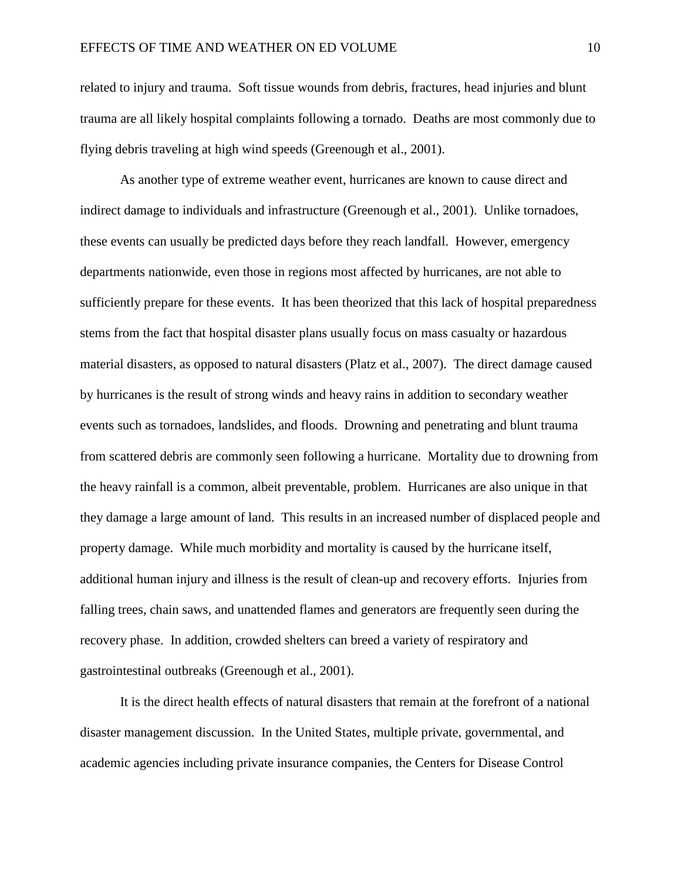related to injury and trauma. Soft tissue wounds from debris, fractures, head injuries and blunt trauma are all likely hospital complaints following a tornado. Deaths are most commonly due to flying debris traveling at high wind speeds (Greenough et al., 2001).

As another type of extreme weather event, hurricanes are known to cause direct and indirect damage to individuals and infrastructure (Greenough et al., 2001). Unlike tornadoes, these events can usually be predicted days before they reach landfall. However, emergency departments nationwide, even those in regions most affected by hurricanes, are not able to sufficiently prepare for these events. It has been theorized that this lack of hospital preparedness stems from the fact that hospital disaster plans usually focus on mass casualty or hazardous material disasters, as opposed to natural disasters (Platz et al., 2007). The direct damage caused by hurricanes is the result of strong winds and heavy rains in addition to secondary weather events such as tornadoes, landslides, and floods. Drowning and penetrating and blunt trauma from scattered debris are commonly seen following a hurricane. Mortality due to drowning from the heavy rainfall is a common, albeit preventable, problem. Hurricanes are also unique in that they damage a large amount of land. This results in an increased number of displaced people and property damage. While much morbidity and mortality is caused by the hurricane itself, additional human injury and illness is the result of clean-up and recovery efforts. Injuries from falling trees, chain saws, and unattended flames and generators are frequently seen during the recovery phase. In addition, crowded shelters can breed a variety of respiratory and gastrointestinal outbreaks (Greenough et al., 2001).

It is the direct health effects of natural disasters that remain at the forefront of a national disaster management discussion. In the United States, multiple private, governmental, and academic agencies including private insurance companies, the Centers for Disease Control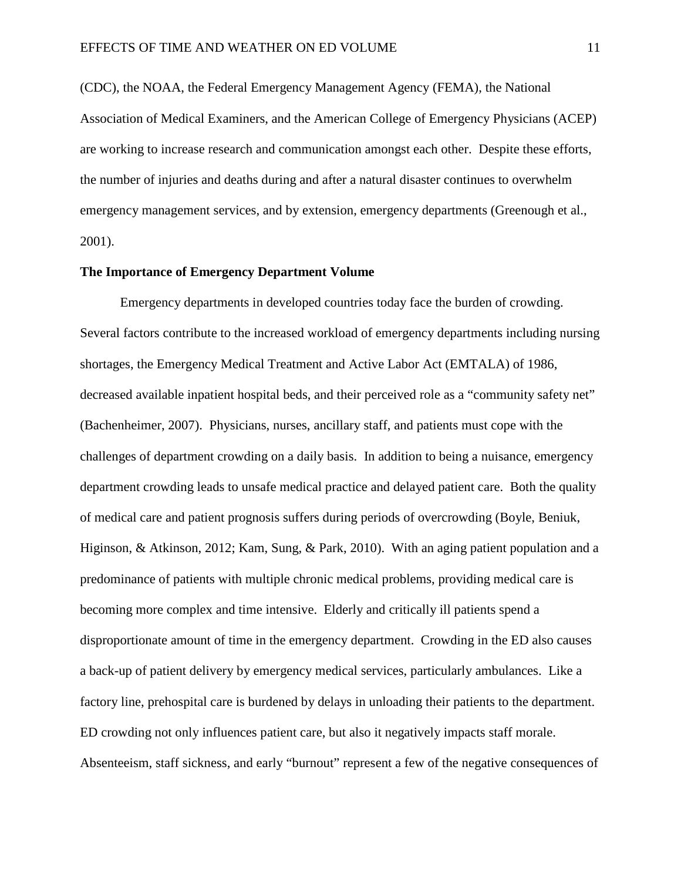(CDC), the NOAA, the Federal Emergency Management Agency (FEMA), the National Association of Medical Examiners, and the American College of Emergency Physicians (ACEP) are working to increase research and communication amongst each other. Despite these efforts, the number of injuries and deaths during and after a natural disaster continues to overwhelm emergency management services, and by extension, emergency departments (Greenough et al., 2001).

## **The Importance of Emergency Department Volume**

Emergency departments in developed countries today face the burden of crowding. Several factors contribute to the increased workload of emergency departments including nursing shortages, the Emergency Medical Treatment and Active Labor Act (EMTALA) of 1986, decreased available inpatient hospital beds, and their perceived role as a "community safety net" (Bachenheimer, 2007). Physicians, nurses, ancillary staff, and patients must cope with the challenges of department crowding on a daily basis. In addition to being a nuisance, emergency department crowding leads to unsafe medical practice and delayed patient care. Both the quality of medical care and patient prognosis suffers during periods of overcrowding (Boyle, Beniuk, Higinson, & Atkinson, 2012; Kam, Sung, & Park, 2010). With an aging patient population and a predominance of patients with multiple chronic medical problems, providing medical care is becoming more complex and time intensive. Elderly and critically ill patients spend a disproportionate amount of time in the emergency department. Crowding in the ED also causes a back-up of patient delivery by emergency medical services, particularly ambulances. Like a factory line, prehospital care is burdened by delays in unloading their patients to the department. ED crowding not only influences patient care, but also it negatively impacts staff morale. Absenteeism, staff sickness, and early "burnout" represent a few of the negative consequences of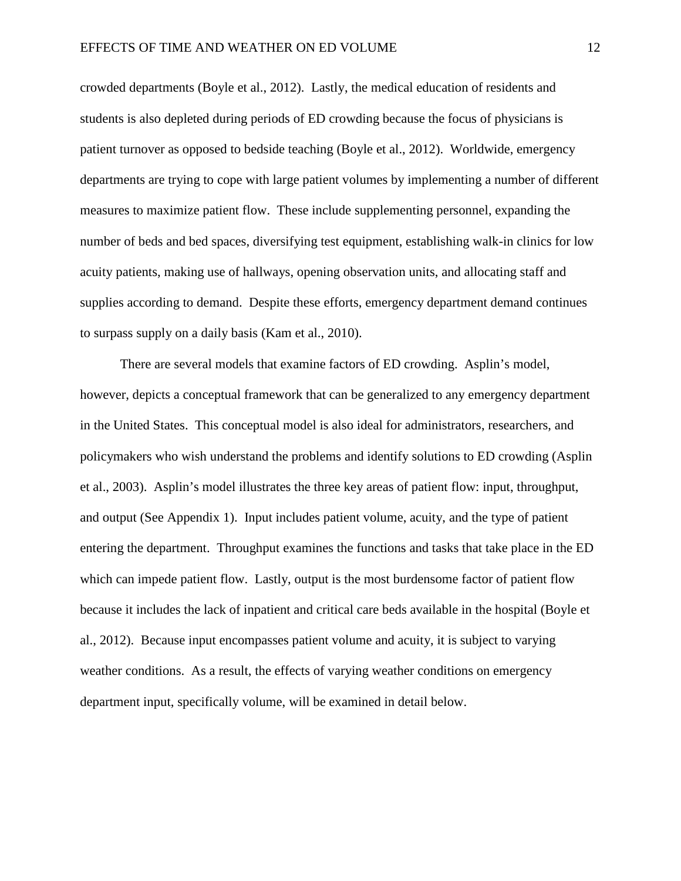crowded departments (Boyle et al., 2012). Lastly, the medical education of residents and students is also depleted during periods of ED crowding because the focus of physicians is patient turnover as opposed to bedside teaching (Boyle et al., 2012). Worldwide, emergency departments are trying to cope with large patient volumes by implementing a number of different measures to maximize patient flow. These include supplementing personnel, expanding the number of beds and bed spaces, diversifying test equipment, establishing walk-in clinics for low acuity patients, making use of hallways, opening observation units, and allocating staff and supplies according to demand. Despite these efforts, emergency department demand continues to surpass supply on a daily basis (Kam et al., 2010).

There are several models that examine factors of ED crowding. Asplin's model, however, depicts a conceptual framework that can be generalized to any emergency department in the United States. This conceptual model is also ideal for administrators, researchers, and policymakers who wish understand the problems and identify solutions to ED crowding (Asplin et al., 2003). Asplin's model illustrates the three key areas of patient flow: input, throughput, and output (See Appendix 1). Input includes patient volume, acuity, and the type of patient entering the department. Throughput examines the functions and tasks that take place in the ED which can impede patient flow. Lastly, output is the most burdensome factor of patient flow because it includes the lack of inpatient and critical care beds available in the hospital (Boyle et al., 2012). Because input encompasses patient volume and acuity, it is subject to varying weather conditions. As a result, the effects of varying weather conditions on emergency department input, specifically volume, will be examined in detail below.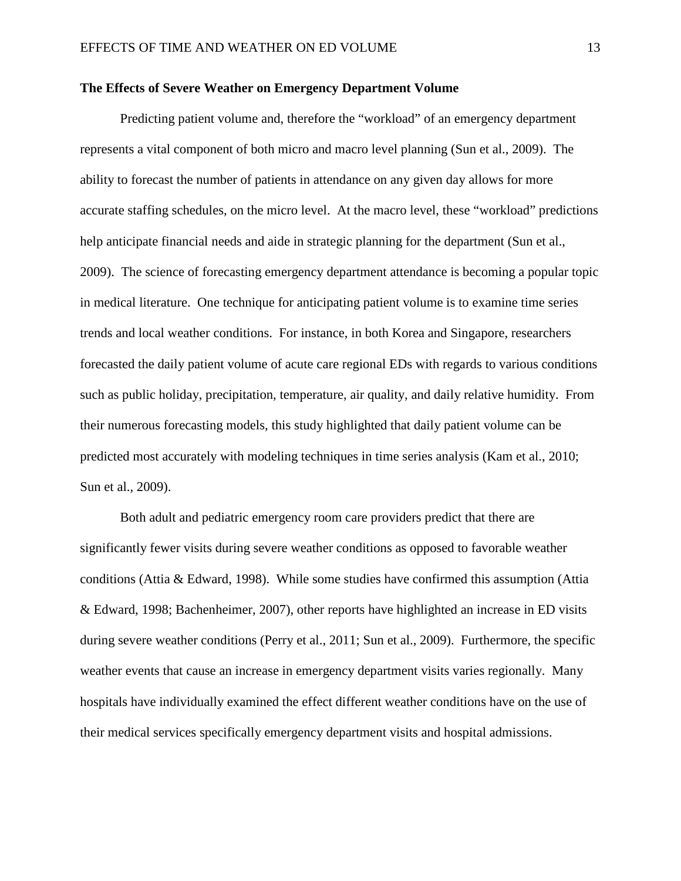## **The Effects of Severe Weather on Emergency Department Volume**

Predicting patient volume and, therefore the "workload" of an emergency department represents a vital component of both micro and macro level planning (Sun et al., 2009). The ability to forecast the number of patients in attendance on any given day allows for more accurate staffing schedules, on the micro level. At the macro level, these "workload" predictions help anticipate financial needs and aide in strategic planning for the department (Sun et al., 2009). The science of forecasting emergency department attendance is becoming a popular topic in medical literature. One technique for anticipating patient volume is to examine time series trends and local weather conditions. For instance, in both Korea and Singapore, researchers forecasted the daily patient volume of acute care regional EDs with regards to various conditions such as public holiday, precipitation, temperature, air quality, and daily relative humidity. From their numerous forecasting models, this study highlighted that daily patient volume can be predicted most accurately with modeling techniques in time series analysis (Kam et al., 2010; Sun et al., 2009).

Both adult and pediatric emergency room care providers predict that there are significantly fewer visits during severe weather conditions as opposed to favorable weather conditions (Attia & Edward, 1998). While some studies have confirmed this assumption (Attia & Edward, 1998; Bachenheimer, 2007), other reports have highlighted an increase in ED visits during severe weather conditions (Perry et al., 2011; Sun et al., 2009). Furthermore, the specific weather events that cause an increase in emergency department visits varies regionally. Many hospitals have individually examined the effect different weather conditions have on the use of their medical services specifically emergency department visits and hospital admissions.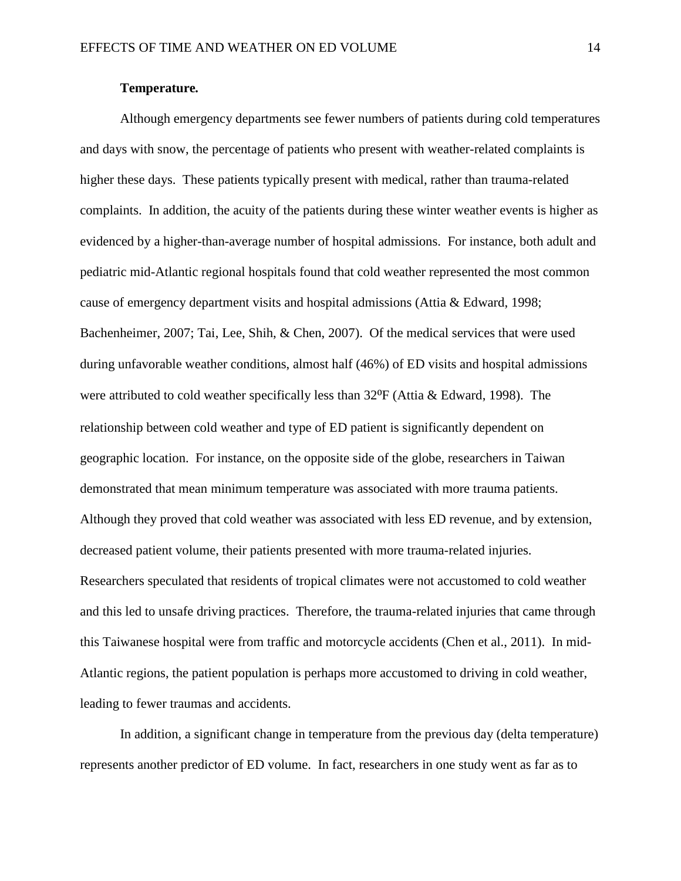## **Temperature***.*

Although emergency departments see fewer numbers of patients during cold temperatures and days with snow, the percentage of patients who present with weather-related complaints is higher these days. These patients typically present with medical, rather than trauma-related complaints. In addition, the acuity of the patients during these winter weather events is higher as evidenced by a higher-than-average number of hospital admissions. For instance, both adult and pediatric mid-Atlantic regional hospitals found that cold weather represented the most common cause of emergency department visits and hospital admissions (Attia & Edward, 1998; Bachenheimer, 2007; Tai, Lee, Shih, & Chen, 2007). Of the medical services that were used during unfavorable weather conditions, almost half (46%) of ED visits and hospital admissions were attributed to cold weather specifically less than  $32^{\circ}F$  (Attia & Edward, 1998). The relationship between cold weather and type of ED patient is significantly dependent on geographic location. For instance, on the opposite side of the globe, researchers in Taiwan demonstrated that mean minimum temperature was associated with more trauma patients. Although they proved that cold weather was associated with less ED revenue, and by extension, decreased patient volume, their patients presented with more trauma-related injuries. Researchers speculated that residents of tropical climates were not accustomed to cold weather and this led to unsafe driving practices. Therefore, the trauma-related injuries that came through this Taiwanese hospital were from traffic and motorcycle accidents (Chen et al., 2011). In mid-Atlantic regions, the patient population is perhaps more accustomed to driving in cold weather, leading to fewer traumas and accidents.

In addition, a significant change in temperature from the previous day (delta temperature) represents another predictor of ED volume. In fact, researchers in one study went as far as to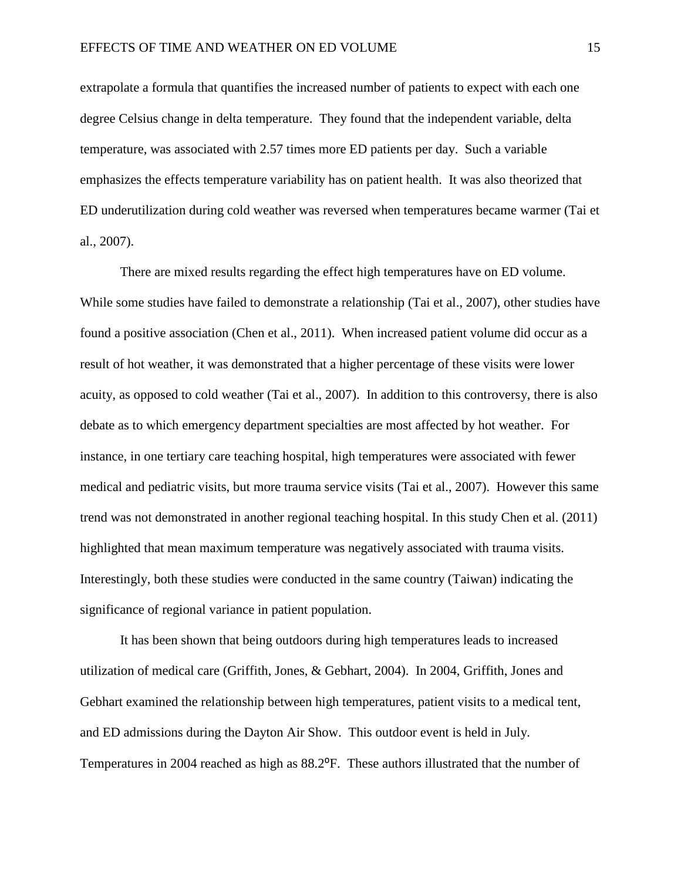extrapolate a formula that quantifies the increased number of patients to expect with each one degree Celsius change in delta temperature. They found that the independent variable, delta temperature, was associated with 2.57 times more ED patients per day. Such a variable emphasizes the effects temperature variability has on patient health. It was also theorized that ED underutilization during cold weather was reversed when temperatures became warmer (Tai et al., 2007).

There are mixed results regarding the effect high temperatures have on ED volume. While some studies have failed to demonstrate a relationship (Tai et al., 2007), other studies have found a positive association (Chen et al., 2011). When increased patient volume did occur as a result of hot weather, it was demonstrated that a higher percentage of these visits were lower acuity, as opposed to cold weather (Tai et al., 2007). In addition to this controversy, there is also debate as to which emergency department specialties are most affected by hot weather. For instance, in one tertiary care teaching hospital, high temperatures were associated with fewer medical and pediatric visits, but more trauma service visits (Tai et al., 2007). However this same trend was not demonstrated in another regional teaching hospital. In this study Chen et al. (2011) highlighted that mean maximum temperature was negatively associated with trauma visits. Interestingly, both these studies were conducted in the same country (Taiwan) indicating the significance of regional variance in patient population.

It has been shown that being outdoors during high temperatures leads to increased utilization of medical care (Griffith, Jones, & Gebhart, 2004). In 2004, Griffith, Jones and Gebhart examined the relationship between high temperatures, patient visits to a medical tent, and ED admissions during the Dayton Air Show. This outdoor event is held in July. Temperatures in 2004 reached as high as 88.2<sup>o</sup>F. These authors illustrated that the number of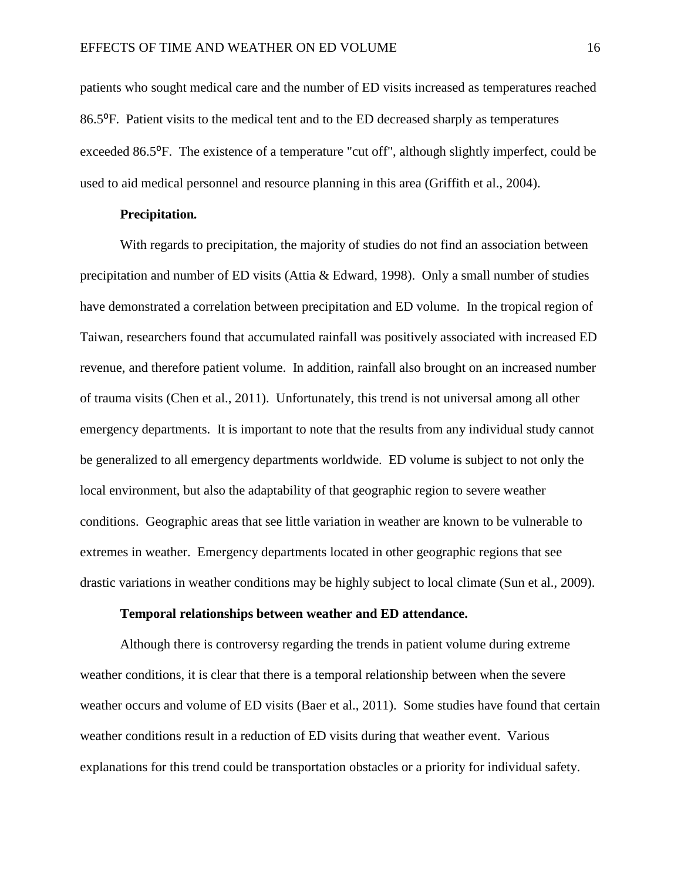patients who sought medical care and the number of ED visits increased as temperatures reached 86.5⁰F. Patient visits to the medical tent and to the ED decreased sharply as temperatures exceeded 86.5°F. The existence of a temperature "cut off", although slightly imperfect, could be used to aid medical personnel and resource planning in this area (Griffith et al., 2004).

#### **Precipitation***.*

With regards to precipitation, the majority of studies do not find an association between precipitation and number of ED visits (Attia & Edward, 1998). Only a small number of studies have demonstrated a correlation between precipitation and ED volume. In the tropical region of Taiwan, researchers found that accumulated rainfall was positively associated with increased ED revenue, and therefore patient volume. In addition, rainfall also brought on an increased number of trauma visits (Chen et al., 2011). Unfortunately, this trend is not universal among all other emergency departments. It is important to note that the results from any individual study cannot be generalized to all emergency departments worldwide. ED volume is subject to not only the local environment, but also the adaptability of that geographic region to severe weather conditions. Geographic areas that see little variation in weather are known to be vulnerable to extremes in weather. Emergency departments located in other geographic regions that see drastic variations in weather conditions may be highly subject to local climate (Sun et al., 2009).

## **Temporal relationships between weather and ED attendance.**

Although there is controversy regarding the trends in patient volume during extreme weather conditions, it is clear that there is a temporal relationship between when the severe weather occurs and volume of ED visits (Baer et al., 2011). Some studies have found that certain weather conditions result in a reduction of ED visits during that weather event. Various explanations for this trend could be transportation obstacles or a priority for individual safety.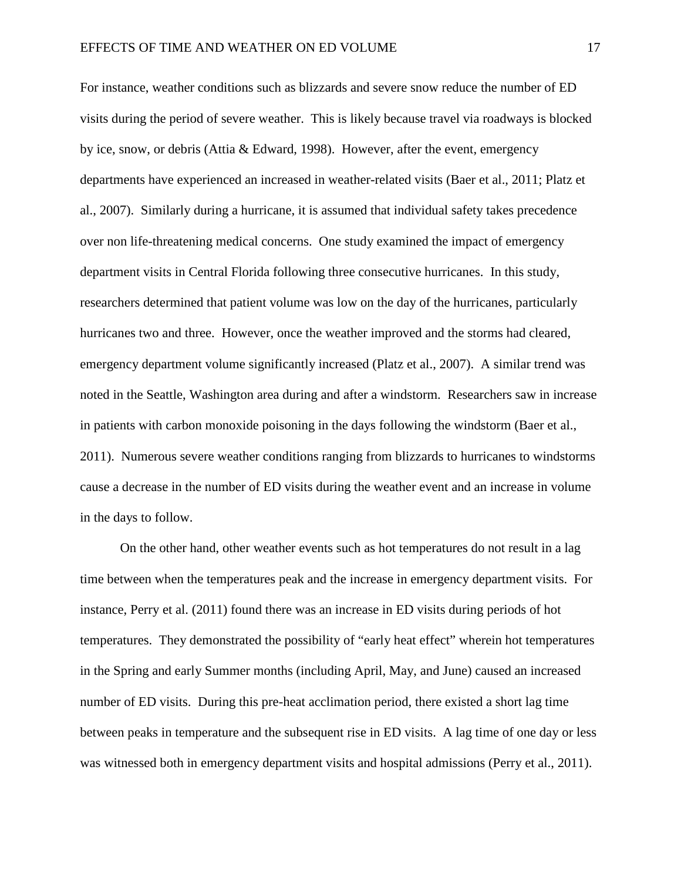For instance, weather conditions such as blizzards and severe snow reduce the number of ED visits during the period of severe weather. This is likely because travel via roadways is blocked by ice, snow, or debris (Attia & Edward, 1998). However, after the event, emergency departments have experienced an increased in weather-related visits (Baer et al., 2011; Platz et al., 2007). Similarly during a hurricane, it is assumed that individual safety takes precedence over non life-threatening medical concerns. One study examined the impact of emergency department visits in Central Florida following three consecutive hurricanes. In this study, researchers determined that patient volume was low on the day of the hurricanes, particularly hurricanes two and three. However, once the weather improved and the storms had cleared, emergency department volume significantly increased (Platz et al., 2007). A similar trend was noted in the Seattle, Washington area during and after a windstorm. Researchers saw in increase in patients with carbon monoxide poisoning in the days following the windstorm (Baer et al., 2011). Numerous severe weather conditions ranging from blizzards to hurricanes to windstorms cause a decrease in the number of ED visits during the weather event and an increase in volume in the days to follow.

On the other hand, other weather events such as hot temperatures do not result in a lag time between when the temperatures peak and the increase in emergency department visits. For instance, Perry et al. (2011) found there was an increase in ED visits during periods of hot temperatures. They demonstrated the possibility of "early heat effect" wherein hot temperatures in the Spring and early Summer months (including April, May, and June) caused an increased number of ED visits. During this pre-heat acclimation period, there existed a short lag time between peaks in temperature and the subsequent rise in ED visits. A lag time of one day or less was witnessed both in emergency department visits and hospital admissions (Perry et al., 2011).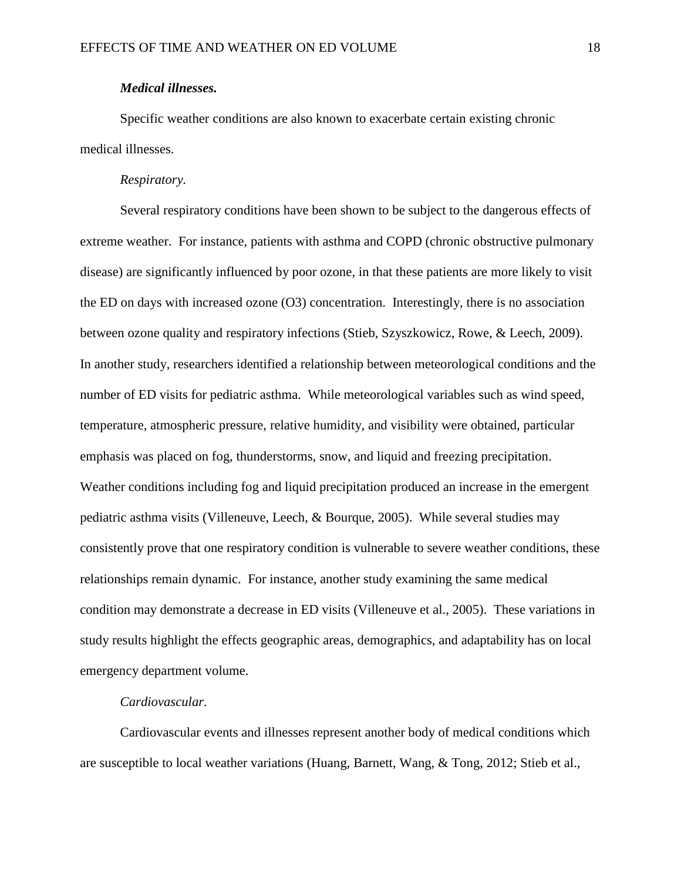## *Medical illnesses.*

Specific weather conditions are also known to exacerbate certain existing chronic medical illnesses.

## *Respiratory.*

Several respiratory conditions have been shown to be subject to the dangerous effects of extreme weather. For instance, patients with asthma and COPD (chronic obstructive pulmonary disease) are significantly influenced by poor ozone, in that these patients are more likely to visit the ED on days with increased ozone (O3) concentration. Interestingly, there is no association between ozone quality and respiratory infections (Stieb, Szyszkowicz, Rowe, & Leech, 2009). In another study, researchers identified a relationship between meteorological conditions and the number of ED visits for pediatric asthma. While meteorological variables such as wind speed, temperature, atmospheric pressure, relative humidity, and visibility were obtained, particular emphasis was placed on fog, thunderstorms, snow, and liquid and freezing precipitation. Weather conditions including fog and liquid precipitation produced an increase in the emergent pediatric asthma visits (Villeneuve, Leech, & Bourque, 2005). While several studies may consistently prove that one respiratory condition is vulnerable to severe weather conditions, these relationships remain dynamic. For instance, another study examining the same medical condition may demonstrate a decrease in ED visits (Villeneuve et al., 2005). These variations in study results highlight the effects geographic areas, demographics, and adaptability has on local emergency department volume.

## *Cardiovascular.*

Cardiovascular events and illnesses represent another body of medical conditions which are susceptible to local weather variations (Huang, Barnett, Wang, & Tong, 2012; Stieb et al.,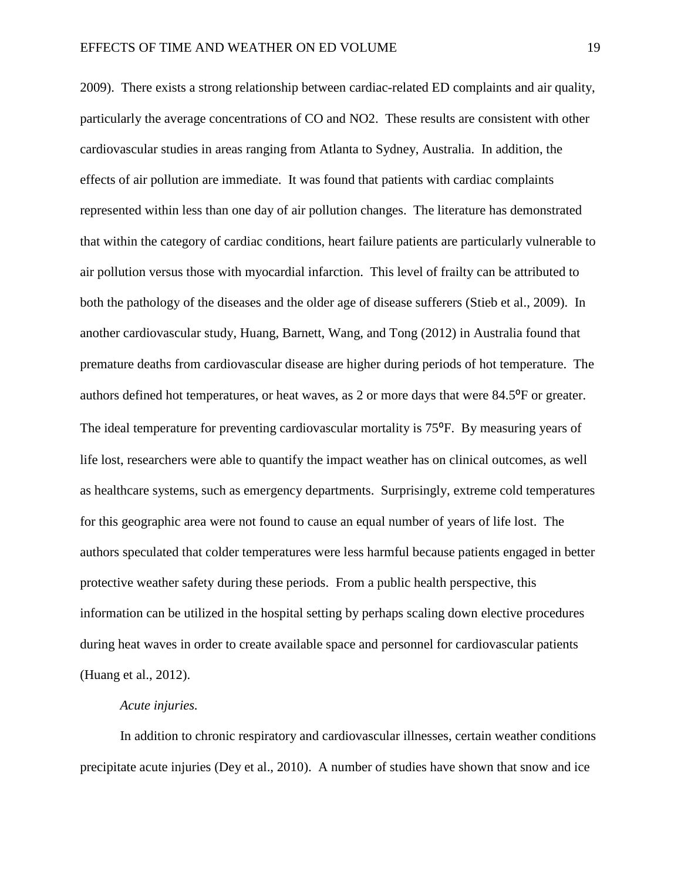2009). There exists a strong relationship between cardiac-related ED complaints and air quality, particularly the average concentrations of CO and NO2. These results are consistent with other cardiovascular studies in areas ranging from Atlanta to Sydney, Australia. In addition, the effects of air pollution are immediate. It was found that patients with cardiac complaints represented within less than one day of air pollution changes. The literature has demonstrated that within the category of cardiac conditions, heart failure patients are particularly vulnerable to air pollution versus those with myocardial infarction. This level of frailty can be attributed to both the pathology of the diseases and the older age of disease sufferers (Stieb et al., 2009). In another cardiovascular study, Huang, Barnett, Wang, and Tong (2012) in Australia found that premature deaths from cardiovascular disease are higher during periods of hot temperature. The authors defined hot temperatures, or heat waves, as 2 or more days that were 84.5<sup>o</sup>F or greater. The ideal temperature for preventing cardiovascular mortality is 75<sup>o</sup>F. By measuring years of life lost, researchers were able to quantify the impact weather has on clinical outcomes, as well as healthcare systems, such as emergency departments. Surprisingly, extreme cold temperatures for this geographic area were not found to cause an equal number of years of life lost. The authors speculated that colder temperatures were less harmful because patients engaged in better protective weather safety during these periods. From a public health perspective, this information can be utilized in the hospital setting by perhaps scaling down elective procedures during heat waves in order to create available space and personnel for cardiovascular patients (Huang et al., 2012).

## *Acute injuries.*

In addition to chronic respiratory and cardiovascular illnesses, certain weather conditions precipitate acute injuries (Dey et al., 2010). A number of studies have shown that snow and ice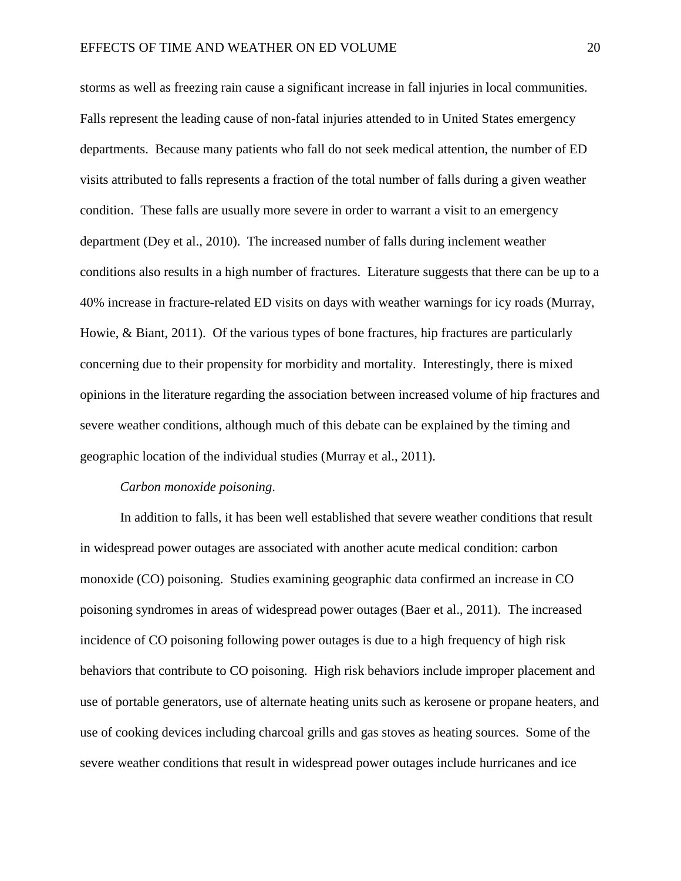storms as well as freezing rain cause a significant increase in fall injuries in local communities. Falls represent the leading cause of non-fatal injuries attended to in United States emergency departments. Because many patients who fall do not seek medical attention, the number of ED visits attributed to falls represents a fraction of the total number of falls during a given weather condition. These falls are usually more severe in order to warrant a visit to an emergency department (Dey et al., 2010). The increased number of falls during inclement weather conditions also results in a high number of fractures. Literature suggests that there can be up to a 40% increase in fracture-related ED visits on days with weather warnings for icy roads (Murray, Howie, & Biant, 2011). Of the various types of bone fractures, hip fractures are particularly concerning due to their propensity for morbidity and mortality. Interestingly, there is mixed opinions in the literature regarding the association between increased volume of hip fractures and severe weather conditions, although much of this debate can be explained by the timing and geographic location of the individual studies (Murray et al., 2011).

#### *Carbon monoxide poisoning*.

In addition to falls, it has been well established that severe weather conditions that result in widespread power outages are associated with another acute medical condition: carbon monoxide (CO) poisoning. Studies examining geographic data confirmed an increase in CO poisoning syndromes in areas of widespread power outages (Baer et al., 2011). The increased incidence of CO poisoning following power outages is due to a high frequency of high risk behaviors that contribute to CO poisoning. High risk behaviors include improper placement and use of portable generators, use of alternate heating units such as kerosene or propane heaters, and use of cooking devices including charcoal grills and gas stoves as heating sources. Some of the severe weather conditions that result in widespread power outages include hurricanes and ice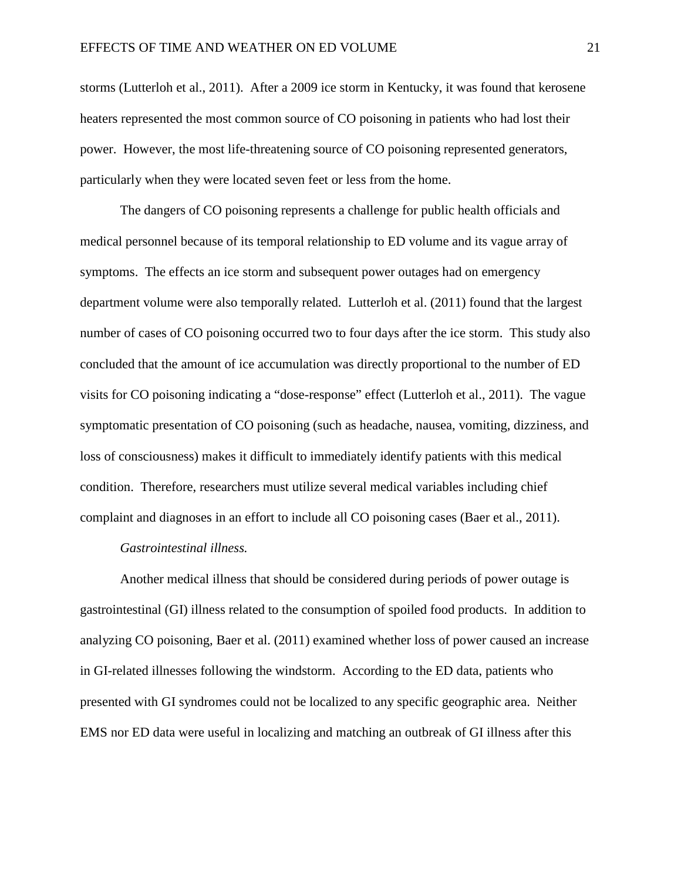storms (Lutterloh et al., 2011). After a 2009 ice storm in Kentucky, it was found that kerosene heaters represented the most common source of CO poisoning in patients who had lost their power. However, the most life-threatening source of CO poisoning represented generators, particularly when they were located seven feet or less from the home.

The dangers of CO poisoning represents a challenge for public health officials and medical personnel because of its temporal relationship to ED volume and its vague array of symptoms. The effects an ice storm and subsequent power outages had on emergency department volume were also temporally related. Lutterloh et al. (2011) found that the largest number of cases of CO poisoning occurred two to four days after the ice storm. This study also concluded that the amount of ice accumulation was directly proportional to the number of ED visits for CO poisoning indicating a "dose-response" effect (Lutterloh et al., 2011). The vague symptomatic presentation of CO poisoning (such as headache, nausea, vomiting, dizziness, and loss of consciousness) makes it difficult to immediately identify patients with this medical condition. Therefore, researchers must utilize several medical variables including chief complaint and diagnoses in an effort to include all CO poisoning cases (Baer et al., 2011).

## *Gastrointestinal illness.*

Another medical illness that should be considered during periods of power outage is gastrointestinal (GI) illness related to the consumption of spoiled food products. In addition to analyzing CO poisoning, Baer et al. (2011) examined whether loss of power caused an increase in GI-related illnesses following the windstorm. According to the ED data, patients who presented with GI syndromes could not be localized to any specific geographic area. Neither EMS nor ED data were useful in localizing and matching an outbreak of GI illness after this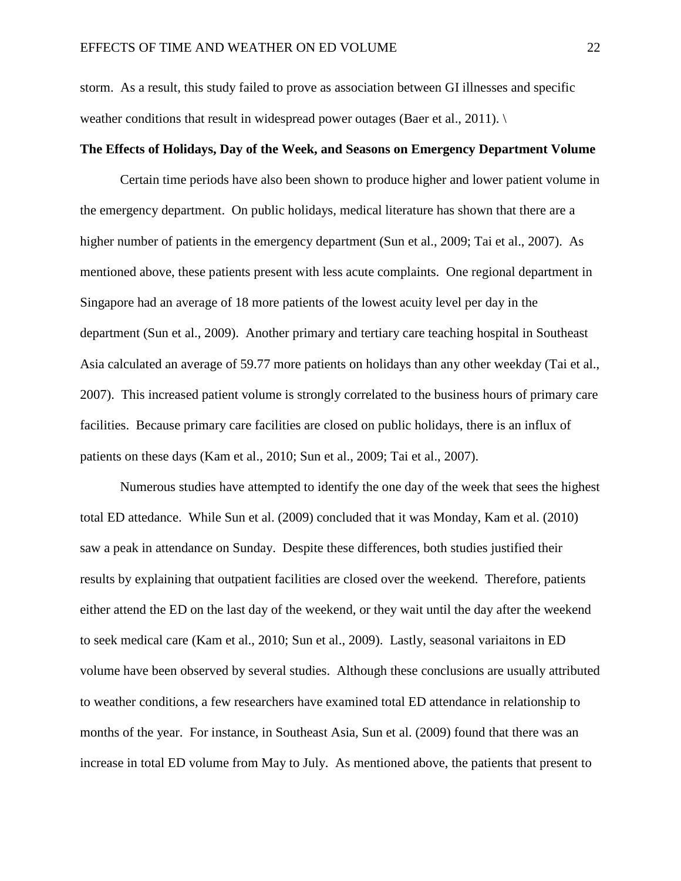storm. As a result, this study failed to prove as association between GI illnesses and specific weather conditions that result in widespread power outages (Baer et al., 2011).

## **The Effects of Holidays, Day of the Week, and Seasons on Emergency Department Volume**

Certain time periods have also been shown to produce higher and lower patient volume in the emergency department. On public holidays, medical literature has shown that there are a higher number of patients in the emergency department (Sun et al., 2009; Tai et al., 2007). As mentioned above, these patients present with less acute complaints. One regional department in Singapore had an average of 18 more patients of the lowest acuity level per day in the department (Sun et al., 2009). Another primary and tertiary care teaching hospital in Southeast Asia calculated an average of 59.77 more patients on holidays than any other weekday (Tai et al., 2007). This increased patient volume is strongly correlated to the business hours of primary care facilities. Because primary care facilities are closed on public holidays, there is an influx of patients on these days (Kam et al., 2010; Sun et al., 2009; Tai et al., 2007).

Numerous studies have attempted to identify the one day of the week that sees the highest total ED attedance. While Sun et al. (2009) concluded that it was Monday, Kam et al. (2010) saw a peak in attendance on Sunday. Despite these differences, both studies justified their results by explaining that outpatient facilities are closed over the weekend. Therefore, patients either attend the ED on the last day of the weekend, or they wait until the day after the weekend to seek medical care (Kam et al., 2010; Sun et al., 2009). Lastly, seasonal variaitons in ED volume have been observed by several studies. Although these conclusions are usually attributed to weather conditions, a few researchers have examined total ED attendance in relationship to months of the year. For instance, in Southeast Asia, Sun et al. (2009) found that there was an increase in total ED volume from May to July. As mentioned above, the patients that present to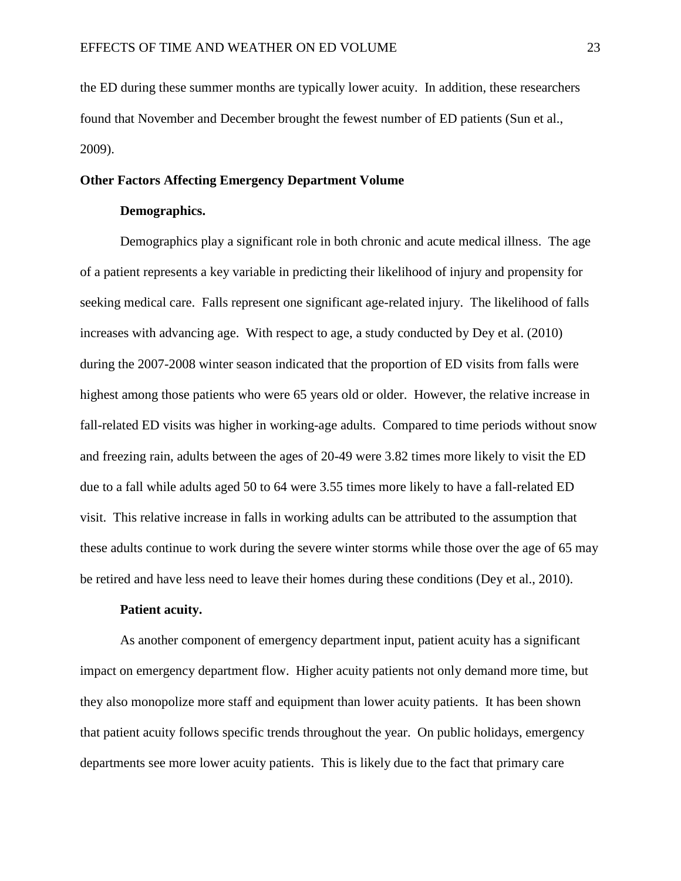the ED during these summer months are typically lower acuity. In addition, these researchers found that November and December brought the fewest number of ED patients (Sun et al., 2009).

## **Other Factors Affecting Emergency Department Volume**

## **Demographics.**

Demographics play a significant role in both chronic and acute medical illness. The age of a patient represents a key variable in predicting their likelihood of injury and propensity for seeking medical care. Falls represent one significant age-related injury. The likelihood of falls increases with advancing age. With respect to age, a study conducted by Dey et al. (2010) during the 2007-2008 winter season indicated that the proportion of ED visits from falls were highest among those patients who were 65 years old or older. However, the relative increase in fall-related ED visits was higher in working-age adults. Compared to time periods without snow and freezing rain, adults between the ages of 20-49 were 3.82 times more likely to visit the ED due to a fall while adults aged 50 to 64 were 3.55 times more likely to have a fall-related ED visit. This relative increase in falls in working adults can be attributed to the assumption that these adults continue to work during the severe winter storms while those over the age of 65 may be retired and have less need to leave their homes during these conditions (Dey et al., 2010).

#### **Patient acuity.**

As another component of emergency department input, patient acuity has a significant impact on emergency department flow. Higher acuity patients not only demand more time, but they also monopolize more staff and equipment than lower acuity patients. It has been shown that patient acuity follows specific trends throughout the year. On public holidays, emergency departments see more lower acuity patients. This is likely due to the fact that primary care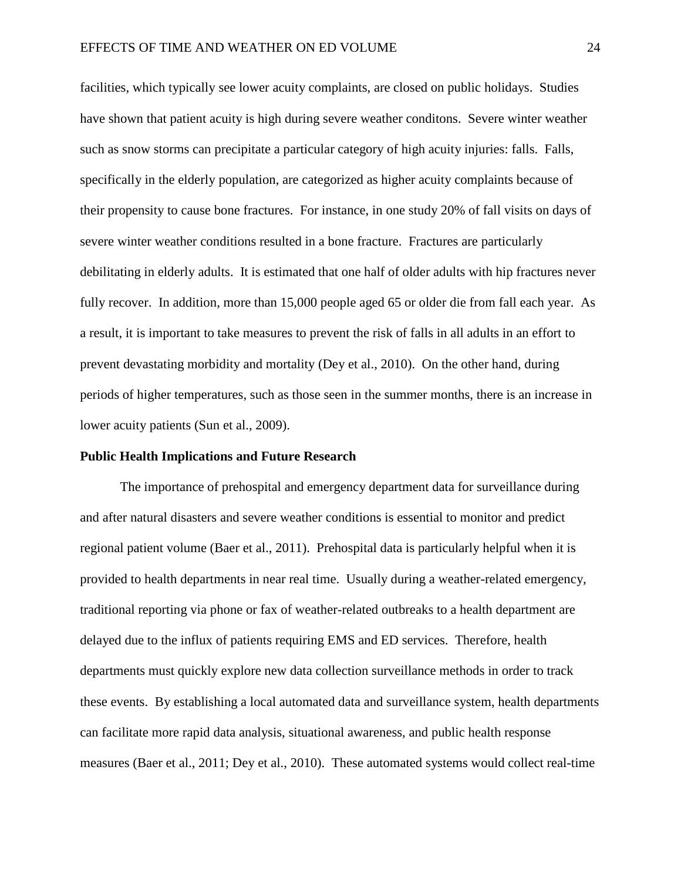facilities, which typically see lower acuity complaints, are closed on public holidays. Studies have shown that patient acuity is high during severe weather conditons. Severe winter weather such as snow storms can precipitate a particular category of high acuity injuries: falls. Falls, specifically in the elderly population, are categorized as higher acuity complaints because of their propensity to cause bone fractures. For instance, in one study 20% of fall visits on days of severe winter weather conditions resulted in a bone fracture. Fractures are particularly debilitating in elderly adults. It is estimated that one half of older adults with hip fractures never fully recover. In addition, more than 15,000 people aged 65 or older die from fall each year. As a result, it is important to take measures to prevent the risk of falls in all adults in an effort to prevent devastating morbidity and mortality (Dey et al., 2010). On the other hand, during periods of higher temperatures, such as those seen in the summer months, there is an increase in lower acuity patients (Sun et al., 2009).

#### **Public Health Implications and Future Research**

The importance of prehospital and emergency department data for surveillance during and after natural disasters and severe weather conditions is essential to monitor and predict regional patient volume (Baer et al., 2011). Prehospital data is particularly helpful when it is provided to health departments in near real time. Usually during a weather-related emergency, traditional reporting via phone or fax of weather-related outbreaks to a health department are delayed due to the influx of patients requiring EMS and ED services. Therefore, health departments must quickly explore new data collection surveillance methods in order to track these events. By establishing a local automated data and surveillance system, health departments can facilitate more rapid data analysis, situational awareness, and public health response measures (Baer et al., 2011; Dey et al., 2010). These automated systems would collect real-time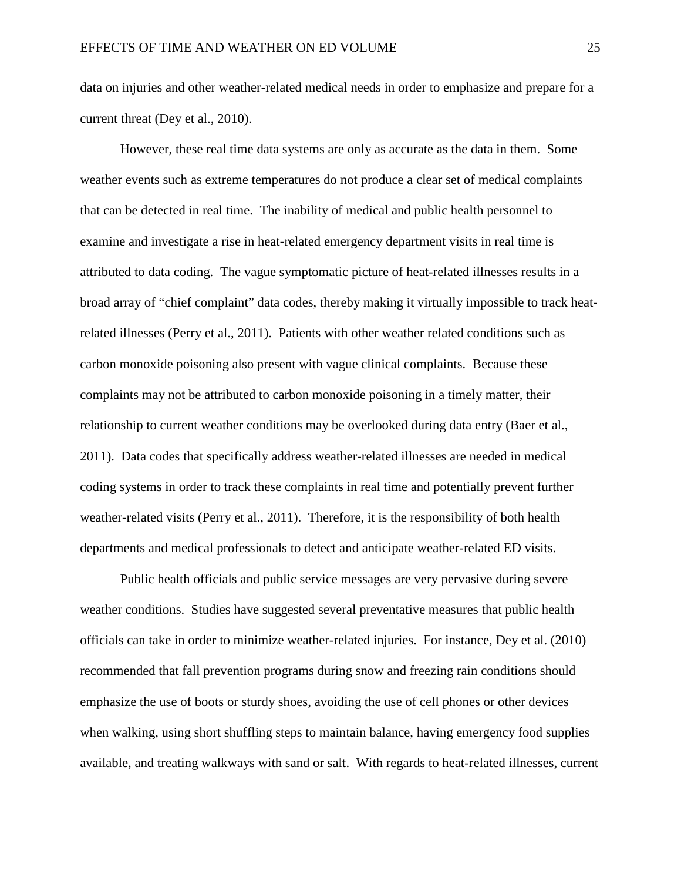data on injuries and other weather-related medical needs in order to emphasize and prepare for a current threat (Dey et al., 2010).

However, these real time data systems are only as accurate as the data in them. Some weather events such as extreme temperatures do not produce a clear set of medical complaints that can be detected in real time. The inability of medical and public health personnel to examine and investigate a rise in heat-related emergency department visits in real time is attributed to data coding. The vague symptomatic picture of heat-related illnesses results in a broad array of "chief complaint" data codes, thereby making it virtually impossible to track heatrelated illnesses (Perry et al., 2011). Patients with other weather related conditions such as carbon monoxide poisoning also present with vague clinical complaints. Because these complaints may not be attributed to carbon monoxide poisoning in a timely matter, their relationship to current weather conditions may be overlooked during data entry (Baer et al., 2011). Data codes that specifically address weather-related illnesses are needed in medical coding systems in order to track these complaints in real time and potentially prevent further weather-related visits (Perry et al., 2011). Therefore, it is the responsibility of both health departments and medical professionals to detect and anticipate weather-related ED visits.

Public health officials and public service messages are very pervasive during severe weather conditions. Studies have suggested several preventative measures that public health officials can take in order to minimize weather-related injuries. For instance, Dey et al. (2010) recommended that fall prevention programs during snow and freezing rain conditions should emphasize the use of boots or sturdy shoes, avoiding the use of cell phones or other devices when walking, using short shuffling steps to maintain balance, having emergency food supplies available, and treating walkways with sand or salt. With regards to heat-related illnesses, current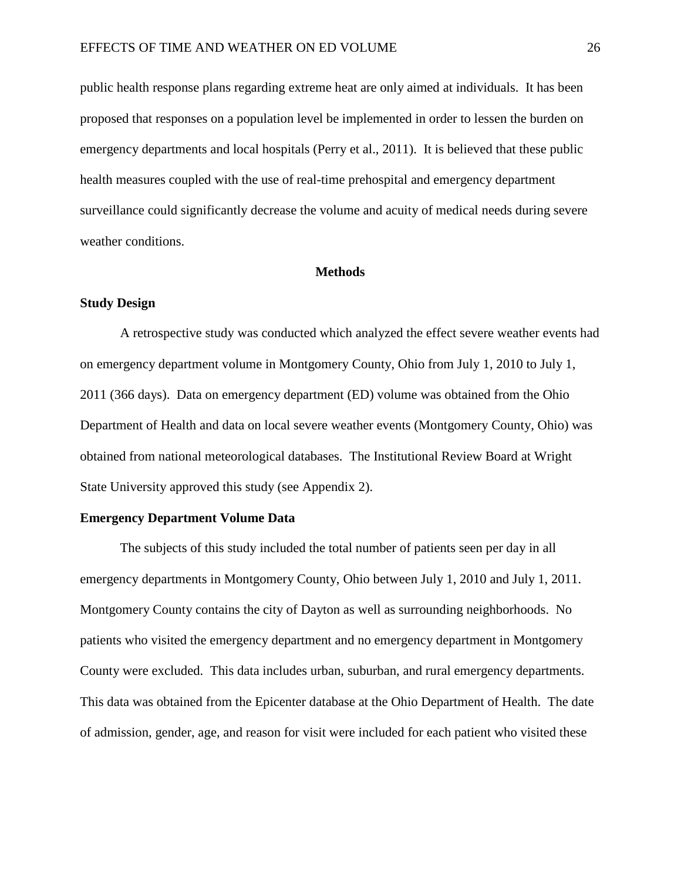public health response plans regarding extreme heat are only aimed at individuals. It has been proposed that responses on a population level be implemented in order to lessen the burden on emergency departments and local hospitals (Perry et al., 2011). It is believed that these public health measures coupled with the use of real-time prehospital and emergency department surveillance could significantly decrease the volume and acuity of medical needs during severe weather conditions.

#### **Methods**

## **Study Design**

A retrospective study was conducted which analyzed the effect severe weather events had on emergency department volume in Montgomery County, Ohio from July 1, 2010 to July 1, 2011 (366 days). Data on emergency department (ED) volume was obtained from the Ohio Department of Health and data on local severe weather events (Montgomery County, Ohio) was obtained from national meteorological databases. The Institutional Review Board at Wright State University approved this study (see Appendix 2).

## **Emergency Department Volume Data**

The subjects of this study included the total number of patients seen per day in all emergency departments in Montgomery County, Ohio between July 1, 2010 and July 1, 2011. Montgomery County contains the city of Dayton as well as surrounding neighborhoods. No patients who visited the emergency department and no emergency department in Montgomery County were excluded. This data includes urban, suburban, and rural emergency departments. This data was obtained from the Epicenter database at the Ohio Department of Health. The date of admission, gender, age, and reason for visit were included for each patient who visited these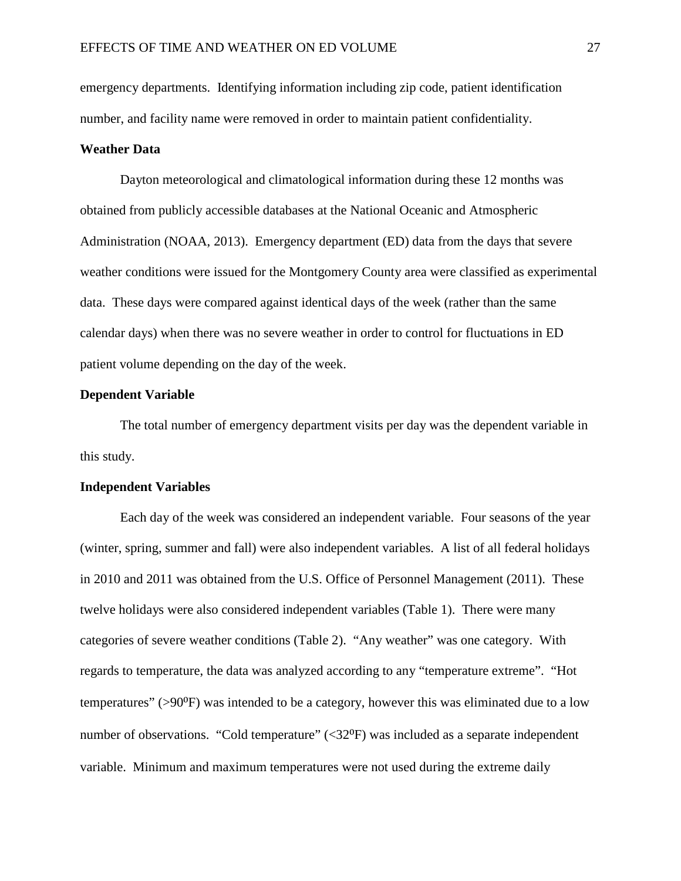emergency departments. Identifying information including zip code, patient identification number, and facility name were removed in order to maintain patient confidentiality.

#### **Weather Data**

Dayton meteorological and climatological information during these 12 months was obtained from publicly accessible databases at the National Oceanic and Atmospheric Administration (NOAA, 2013). Emergency department (ED) data from the days that severe weather conditions were issued for the Montgomery County area were classified as experimental data. These days were compared against identical days of the week (rather than the same calendar days) when there was no severe weather in order to control for fluctuations in ED patient volume depending on the day of the week.

## **Dependent Variable**

The total number of emergency department visits per day was the dependent variable in this study.

## **Independent Variables**

Each day of the week was considered an independent variable. Four seasons of the year (winter, spring, summer and fall) were also independent variables. A list of all federal holidays in 2010 and 2011 was obtained from the U.S. Office of Personnel Management (2011). These twelve holidays were also considered independent variables (Table 1). There were many categories of severe weather conditions (Table 2). "Any weather" was one category. With regards to temperature, the data was analyzed according to any "temperature extreme". "Hot temperatures" (>90⁰F) was intended to be a category, however this was eliminated due to a low number of observations. "Cold temperature"  $\langle 32^{0}F \rangle$  was included as a separate independent variable. Minimum and maximum temperatures were not used during the extreme daily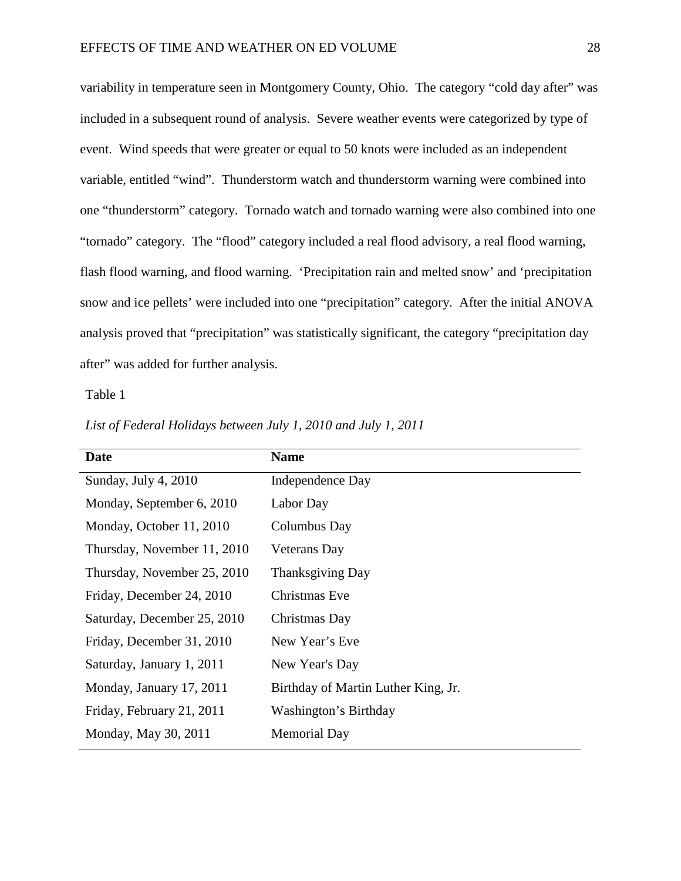variability in temperature seen in Montgomery County, Ohio. The category "cold day after" was included in a subsequent round of analysis. Severe weather events were categorized by type of event. Wind speeds that were greater or equal to 50 knots were included as an independent variable, entitled "wind". Thunderstorm watch and thunderstorm warning were combined into one "thunderstorm" category. Tornado watch and tornado warning were also combined into one "tornado" category. The "flood" category included a real flood advisory, a real flood warning, flash flood warning, and flood warning. 'Precipitation rain and melted snow' and 'precipitation snow and ice pellets' were included into one "precipitation" category. After the initial ANOVA analysis proved that "precipitation" was statistically significant, the category "precipitation day after" was added for further analysis.

| Date                        | <b>Name</b>                         |
|-----------------------------|-------------------------------------|
| Sunday, July 4, $2010$      | Independence Day                    |
| Monday, September 6, 2010   | Labor Day                           |
| Monday, October 11, 2010    | Columbus Day                        |
| Thursday, November 11, 2010 | Veterans Day                        |
| Thursday, November 25, 2010 | <b>Thanksgiving Day</b>             |
| Friday, December 24, 2010   | Christmas Eve                       |
| Saturday, December 25, 2010 | Christmas Day                       |
| Friday, December 31, 2010   | New Year's Eve                      |
| Saturday, January 1, 2011   | New Year's Day                      |
| Monday, January 17, 2011    | Birthday of Martin Luther King, Jr. |
| Friday, February 21, 2011   | Washington's Birthday               |
| Monday, May 30, 2011        | <b>Memorial Day</b>                 |
|                             |                                     |

*List of Federal Holidays between July 1, 2010 and July 1, 2011*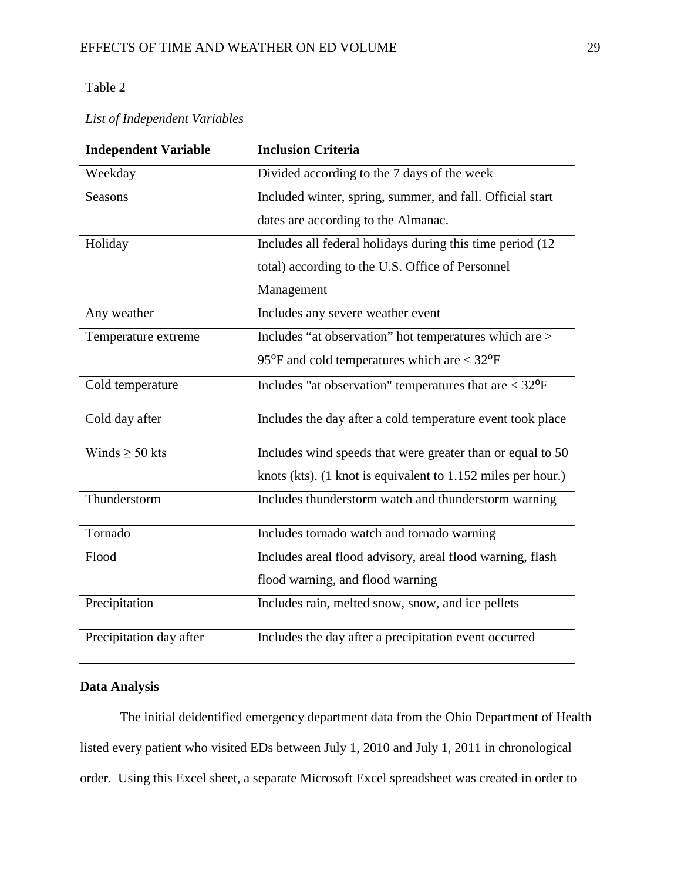## Table 2

*List of Independent Variables*

| <b>Independent Variable</b> | <b>Inclusion Criteria</b>                                                           |
|-----------------------------|-------------------------------------------------------------------------------------|
| Weekday                     | Divided according to the 7 days of the week                                         |
| <b>Seasons</b>              | Included winter, spring, summer, and fall. Official start                           |
|                             | dates are according to the Almanac.                                                 |
| Holiday                     | Includes all federal holidays during this time period (12)                          |
|                             | total) according to the U.S. Office of Personnel                                    |
|                             | Management                                                                          |
| Any weather                 | Includes any severe weather event                                                   |
| Temperature extreme         | Includes "at observation" hot temperatures which are >                              |
|                             | 95 $\mathrm{^{\circ}F}$ and cold temperatures which are $<$ 32 $\mathrm{^{\circ}F}$ |
| Cold temperature            | Includes "at observation" temperatures that are $<$ 32 $^{\circ}$ F                 |
| Cold day after              | Includes the day after a cold temperature event took place                          |
| Winds $\geq$ 50 kts         | Includes wind speeds that were greater than or equal to 50                          |
|                             | knots (kts). (1 knot is equivalent to 1.152 miles per hour.)                        |
| Thunderstorm                | Includes thunderstorm watch and thunderstorm warning                                |
| Tornado                     | Includes tornado watch and tornado warning                                          |
| Flood                       | Includes areal flood advisory, areal flood warning, flash                           |
|                             | flood warning, and flood warning                                                    |
| Precipitation               | Includes rain, melted snow, snow, and ice pellets                                   |
| Precipitation day after     | Includes the day after a precipitation event occurred                               |

## **Data Analysis**

The initial deidentified emergency department data from the Ohio Department of Health listed every patient who visited EDs between July 1, 2010 and July 1, 2011 in chronological order. Using this Excel sheet, a separate Microsoft Excel spreadsheet was created in order to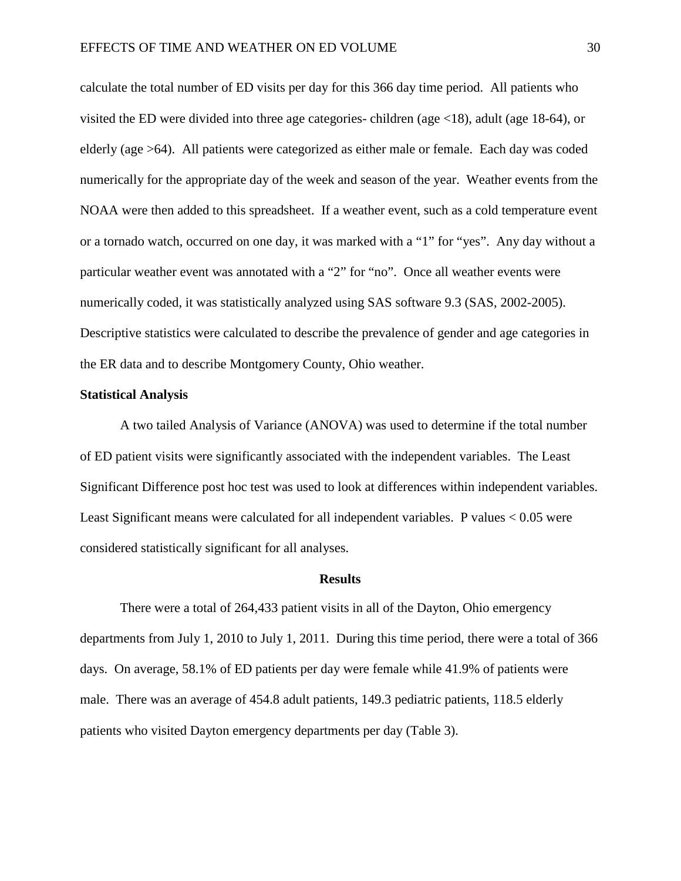calculate the total number of ED visits per day for this 366 day time period. All patients who visited the ED were divided into three age categories- children (age <18), adult (age 18-64), or elderly (age >64). All patients were categorized as either male or female. Each day was coded numerically for the appropriate day of the week and season of the year. Weather events from the NOAA were then added to this spreadsheet. If a weather event, such as a cold temperature event or a tornado watch, occurred on one day, it was marked with a "1" for "yes". Any day without a particular weather event was annotated with a "2" for "no". Once all weather events were numerically coded, it was statistically analyzed using SAS software 9.3 (SAS, 2002-2005). Descriptive statistics were calculated to describe the prevalence of gender and age categories in the ER data and to describe Montgomery County, Ohio weather.

## **Statistical Analysis**

A two tailed Analysis of Variance (ANOVA) was used to determine if the total number of ED patient visits were significantly associated with the independent variables. The Least Significant Difference post hoc test was used to look at differences within independent variables. Least Significant means were calculated for all independent variables. P values < 0.05 were considered statistically significant for all analyses.

#### **Results**

There were a total of 264,433 patient visits in all of the Dayton, Ohio emergency departments from July 1, 2010 to July 1, 2011. During this time period, there were a total of 366 days. On average, 58.1% of ED patients per day were female while 41.9% of patients were male. There was an average of 454.8 adult patients, 149.3 pediatric patients, 118.5 elderly patients who visited Dayton emergency departments per day (Table 3).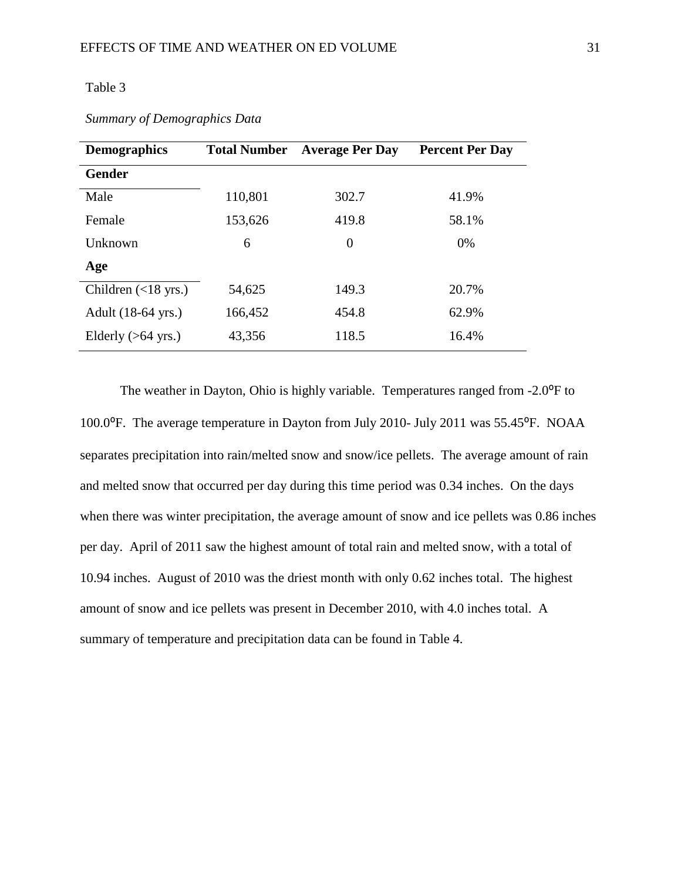## Table 3

| <b>Demographics</b>             | <b>Total Number</b> | <b>Average Per Day</b> | <b>Percent Per Day</b> |
|---------------------------------|---------------------|------------------------|------------------------|
| <b>Gender</b>                   |                     |                        |                        |
| Male                            | 110,801             | 302.7                  | 41.9%                  |
| Female                          | 153,626             | 419.8                  | 58.1%                  |
| Unknown                         | 6                   | $\overline{0}$         | $0\%$                  |
| Age                             |                     |                        |                        |
| Children $(\langle 18 \rangle)$ | 54,625              | 149.3                  | 20.7%                  |
| Adult (18-64 yrs.)              | 166,452             | 454.8                  | 62.9%                  |
| Elderly $(>64 \text{ yrs.})$    | 43,356              | 118.5                  | 16.4%                  |

*Summary of Demographics Data*

The weather in Dayton, Ohio is highly variable. Temperatures ranged from -2.0<sup>o</sup>F to 100.0°F. The average temperature in Dayton from July 2010- July 2011 was 55.45°F. NOAA separates precipitation into rain/melted snow and snow/ice pellets. The average amount of rain and melted snow that occurred per day during this time period was 0.34 inches. On the days when there was winter precipitation, the average amount of snow and ice pellets was 0.86 inches per day. April of 2011 saw the highest amount of total rain and melted snow, with a total of 10.94 inches. August of 2010 was the driest month with only 0.62 inches total. The highest amount of snow and ice pellets was present in December 2010, with 4.0 inches total. A summary of temperature and precipitation data can be found in Table 4.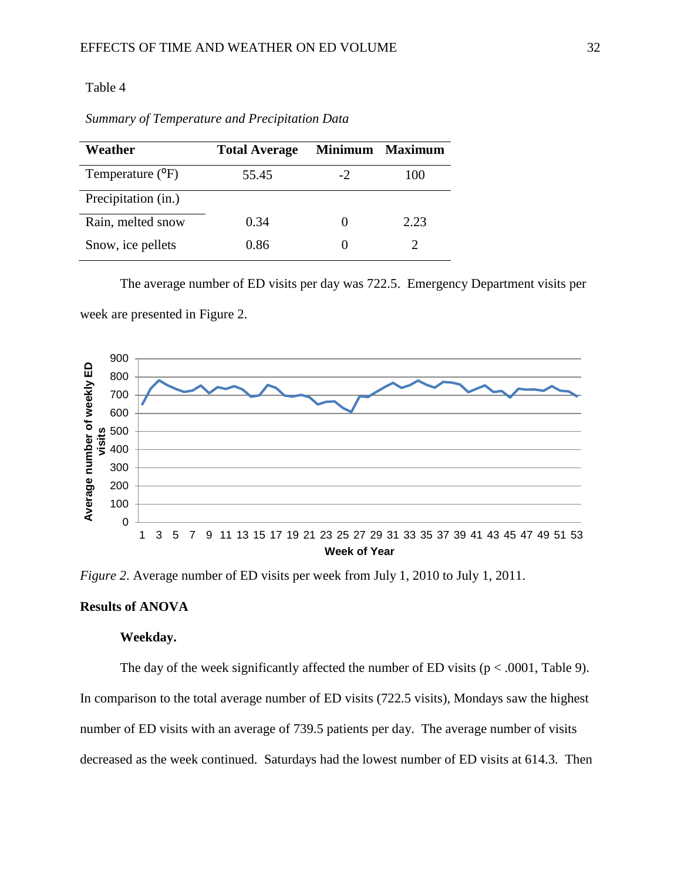## Table 4

| Weather                       | <b>Total Average</b> |      | Minimum Maximum |
|-------------------------------|----------------------|------|-----------------|
| Temperature ( <sup>o</sup> F) | 55.45                | $-2$ | 100             |
| Precipitation (in.)           |                      |      |                 |
| Rain, melted snow             | 0.34                 |      | 2.23            |
| Snow, ice pellets             | 0.86                 |      |                 |

*Summary of Temperature and Precipitation Data*

The average number of ED visits per day was 722.5. Emergency Department visits per

week are presented in Figure 2.



*Figure 2*. Average number of ED visits per week from July 1, 2010 to July 1, 2011.

## **Results of ANOVA**

## **Weekday.**

The day of the week significantly affected the number of ED visits ( $p < .0001$ , Table 9). In comparison to the total average number of ED visits (722.5 visits), Mondays saw the highest number of ED visits with an average of 739.5 patients per day. The average number of visits decreased as the week continued. Saturdays had the lowest number of ED visits at 614.3. Then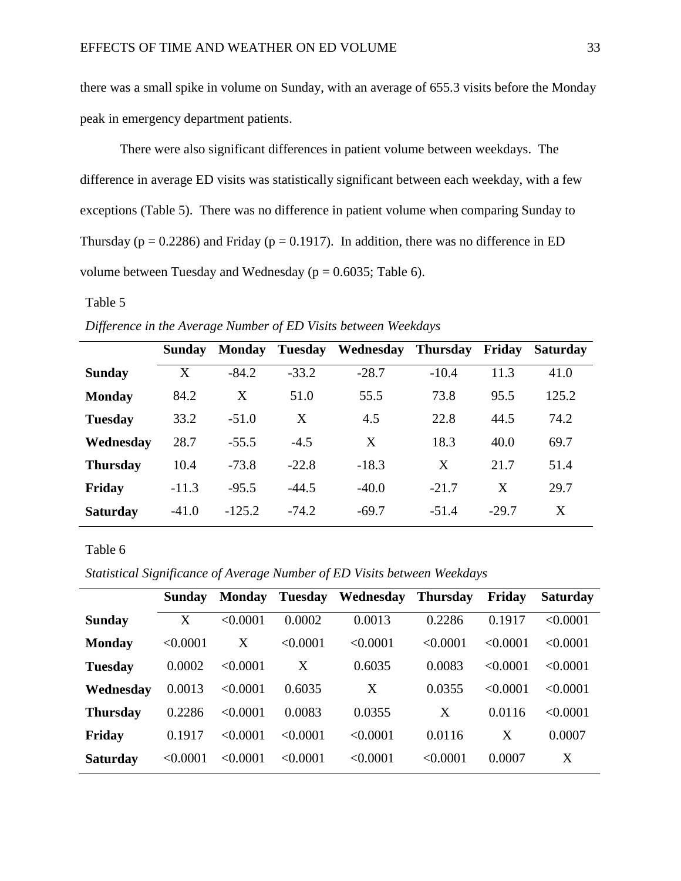there was a small spike in volume on Sunday, with an average of 655.3 visits before the Monday peak in emergency department patients.

There were also significant differences in patient volume between weekdays. The difference in average ED visits was statistically significant between each weekday, with a few exceptions (Table 5). There was no difference in patient volume when comparing Sunday to Thursday ( $p = 0.2286$ ) and Friday ( $p = 0.1917$ ). In addition, there was no difference in ED volume between Tuesday and Wednesday ( $p = 0.6035$ ; Table 6).

## Table 5

*Difference in the Average Number of ED Visits between Weekdays*

|                 | Sunday  | <b>Monday</b> | Tuesday | Wednesday Thursday |         | Friday  | <b>Saturday</b> |
|-----------------|---------|---------------|---------|--------------------|---------|---------|-----------------|
| <b>Sunday</b>   | X       | $-84.2$       | $-33.2$ | $-28.7$            | $-10.4$ | 11.3    | 41.0            |
| <b>Monday</b>   | 84.2    | X             | 51.0    | 55.5               | 73.8    | 95.5    | 125.2           |
| <b>Tuesday</b>  | 33.2    | $-51.0$       | X       | 4.5                | 22.8    | 44.5    | 74.2            |
| Wednesday       | 28.7    | $-55.5$       | $-4.5$  | X                  | 18.3    | 40.0    | 69.7            |
| <b>Thursday</b> | 10.4    | $-73.8$       | $-22.8$ | $-18.3$            | X       | 21.7    | 51.4            |
| Friday          | $-11.3$ | $-95.5$       | $-44.5$ | $-40.0$            | $-21.7$ | X       | 29.7            |
| <b>Saturday</b> | $-41.0$ | $-125.2$      | $-74.2$ | $-69.7$            | $-51.4$ | $-29.7$ | X               |

*Statistical Significance of Average Number of ED Visits between Weekdays*

|                 | Sunday   | <b>Monday</b> | <b>Tuesday</b> | Wednesday | <b>Thursday</b> | Friday   | <b>Saturday</b> |
|-----------------|----------|---------------|----------------|-----------|-----------------|----------|-----------------|
| <b>Sunday</b>   | X        | < 0.0001      | 0.0002         | 0.0013    | 0.2286          | 0.1917   | < 0.0001        |
| <b>Monday</b>   | < 0.0001 | X             | < 0.0001       | < 0.0001  | < 0.0001        | < 0.0001 | $\leq 0.0001$   |
| <b>Tuesday</b>  | 0.0002   | $\leq 0.0001$ | Χ              | 0.6035    | 0.0083          | < 0.0001 | < 0.0001        |
| Wednesday       | 0.0013   | < 0.0001      | 0.6035         | Χ         | 0.0355          | < 0.0001 | $\leq 0.0001$   |
| <b>Thursday</b> | 0.2286   | < 0.0001      | 0.0083         | 0.0355    | X               | 0.0116   | < 0.0001        |
| Friday          | 0.1917   | < 0.0001      | $\leq 0.0001$  | < 0.0001  | 0.0116          | X        | 0.0007          |
| <b>Saturday</b> | < 0.0001 | < 0.0001      | < 0.0001       | < 0.0001  | < 0.0001        | 0.0007   | X               |
|                 |          |               |                |           |                 |          |                 |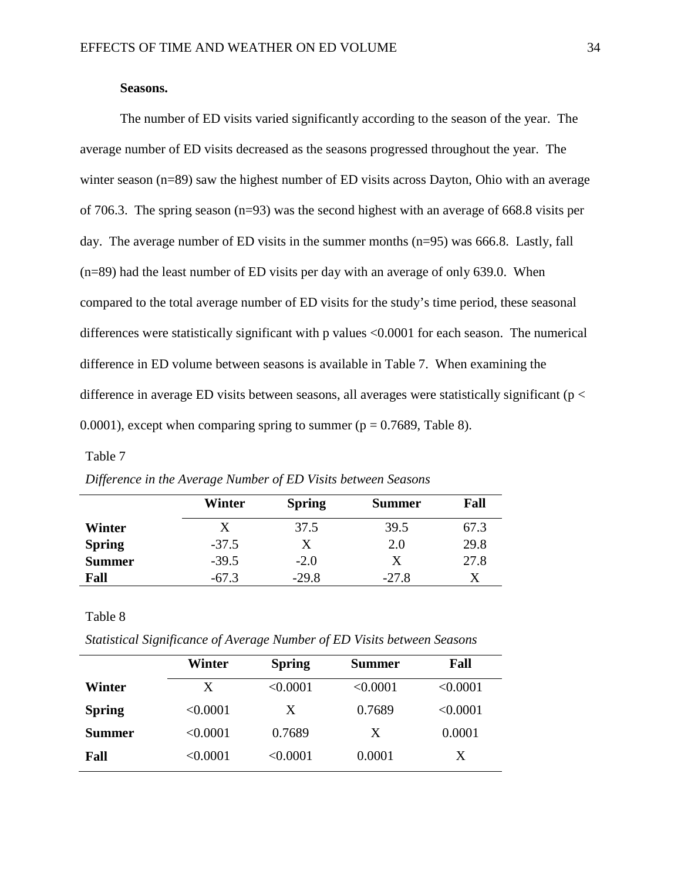## **Seasons.**

The number of ED visits varied significantly according to the season of the year. The average number of ED visits decreased as the seasons progressed throughout the year. The winter season (n=89) saw the highest number of ED visits across Dayton, Ohio with an average of 706.3. The spring season (n=93) was the second highest with an average of 668.8 visits per day. The average number of ED visits in the summer months (n=95) was 666.8. Lastly, fall (n=89) had the least number of ED visits per day with an average of only 639.0. When compared to the total average number of ED visits for the study's time period, these seasonal differences were statistically significant with p values <0.0001 for each season. The numerical difference in ED volume between seasons is available in Table 7. When examining the difference in average ED visits between seasons, all averages were statistically significant ( $p <$ 0.0001), except when comparing spring to summer ( $p = 0.7689$ , Table 8).

#### Table 7

|               | Winter  | <b>Spring</b> | <b>Summer</b> | Fall |
|---------------|---------|---------------|---------------|------|
| Winter        | X       | 37.5          | 39.5          | 67.3 |
| <b>Spring</b> | $-37.5$ | Х             | 2.0           | 29.8 |
| <b>Summer</b> | $-39.5$ | $-2.0$        | X             | 27.8 |
| Fall          | $-67.3$ | $-29.8$       | $-27.8$       | Х    |

*Difference in the Average Number of ED Visits between Seasons*

*Statistical Significance of Average Number of ED Visits between Seasons*

|               | Winter   | <b>Spring</b> | <b>Summer</b> | Fall     |
|---------------|----------|---------------|---------------|----------|
| Winter        | X        | < 0.0001      | < 0.0001      | < 0.0001 |
| <b>Spring</b> | < 0.0001 | X             | 0.7689        | < 0.0001 |
| Summer        | < 0.0001 | 0.7689        | X             | 0.0001   |
| Fall          | < 0.0001 | < 0.0001      | 0.0001        | X        |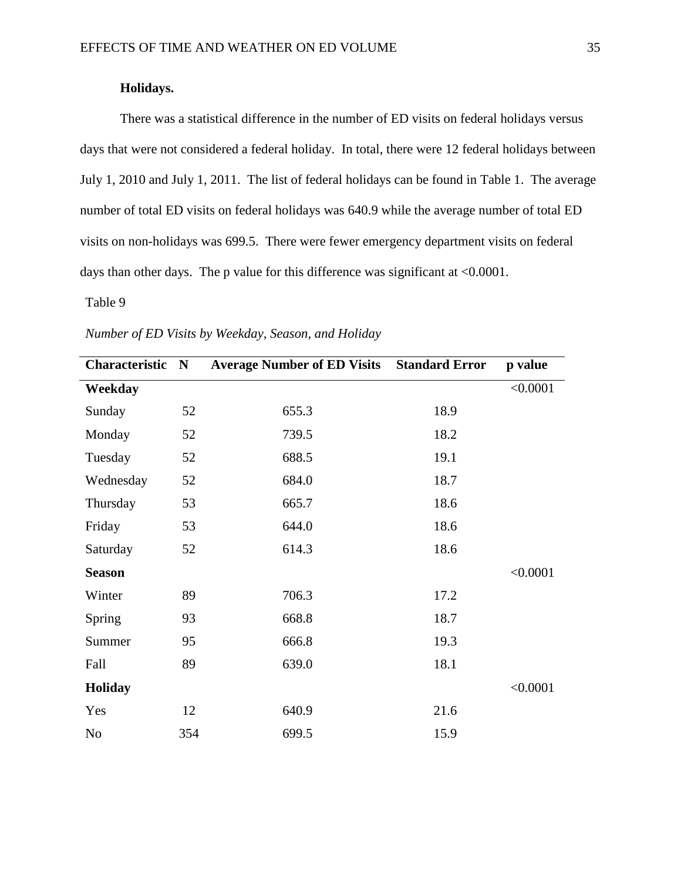## **Holidays.**

There was a statistical difference in the number of ED visits on federal holidays versus days that were not considered a federal holiday. In total, there were 12 federal holidays between July 1, 2010 and July 1, 2011. The list of federal holidays can be found in Table 1. The average number of total ED visits on federal holidays was 640.9 while the average number of total ED visits on non-holidays was 699.5. There were fewer emergency department visits on federal days than other days. The p value for this difference was significant at <0.0001.

| Characteristic | ${\bf N}$ | <b>Average Number of ED Visits</b> | <b>Standard Error</b> | p value  |
|----------------|-----------|------------------------------------|-----------------------|----------|
| Weekday        |           |                                    |                       | < 0.0001 |
| Sunday         | 52        | 655.3                              | 18.9                  |          |
| Monday         | 52        | 739.5                              | 18.2                  |          |
| Tuesday        | 52        | 688.5                              | 19.1                  |          |
| Wednesday      | 52        | 684.0                              | 18.7                  |          |
| Thursday       | 53        | 665.7                              | 18.6                  |          |
| Friday         | 53        | 644.0                              | 18.6                  |          |
| Saturday       | 52        | 614.3                              | 18.6                  |          |
| <b>Season</b>  |           |                                    |                       | < 0.0001 |
| Winter         | 89        | 706.3                              | 17.2                  |          |
| Spring         | 93        | 668.8                              | 18.7                  |          |
| Summer         | 95        | 666.8                              | 19.3                  |          |
| Fall           | 89        | 639.0                              | 18.1                  |          |
| <b>Holiday</b> |           |                                    |                       | < 0.0001 |
| Yes            | 12        | 640.9                              | 21.6                  |          |
| N <sub>o</sub> | 354       | 699.5                              | 15.9                  |          |

*Number of ED Visits by Weekday, Season, and Holiday*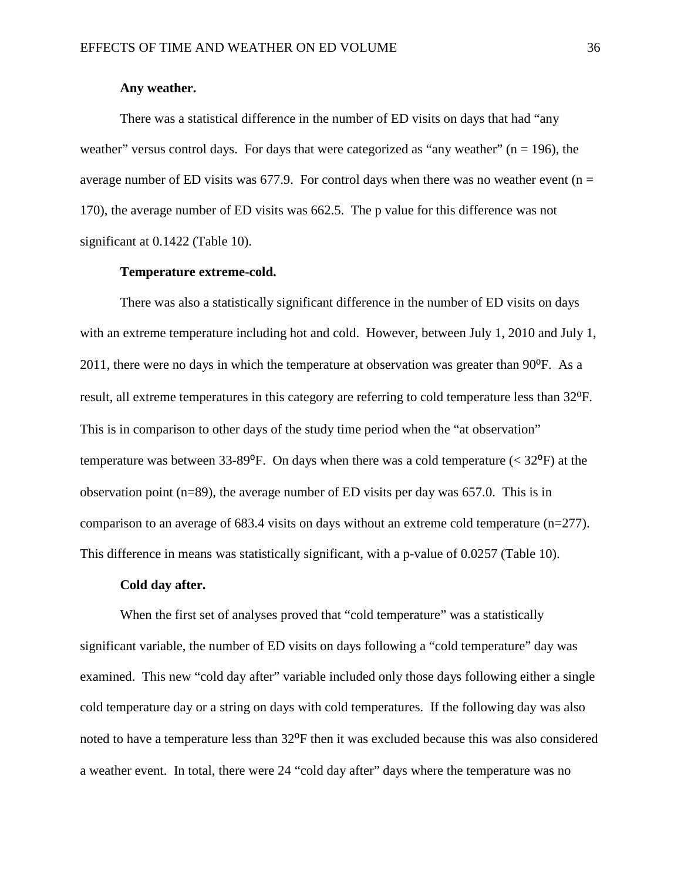## **Any weather.**

There was a statistical difference in the number of ED visits on days that had "any weather" versus control days. For days that were categorized as "any weather" ( $n = 196$ ), the average number of ED visits was 677.9. For control days when there was no weather event ( $n =$ 170), the average number of ED visits was 662.5. The p value for this difference was not significant at 0.1422 (Table 10).

#### **Temperature extreme-cold.**

There was also a statistically significant difference in the number of ED visits on days with an extreme temperature including hot and cold. However, between July 1, 2010 and July 1, 2011, there were no days in which the temperature at observation was greater than  $90^{\circ}$ F. As a result, all extreme temperatures in this category are referring to cold temperature less than 32<sup>o</sup>F. This is in comparison to other days of the study time period when the "at observation" temperature was between 33-89 $^{\circ}$ F. On days when there was a cold temperature (< 32 $^{\circ}$ F) at the observation point (n=89), the average number of ED visits per day was 657.0. This is in comparison to an average of 683.4 visits on days without an extreme cold temperature (n=277). This difference in means was statistically significant, with a p-value of 0.0257 (Table 10).

#### **Cold day after.**

When the first set of analyses proved that "cold temperature" was a statistically significant variable, the number of ED visits on days following a "cold temperature" day was examined. This new "cold day after" variable included only those days following either a single cold temperature day or a string on days with cold temperatures. If the following day was also noted to have a temperature less than 32<sup>o</sup>F then it was excluded because this was also considered a weather event. In total, there were 24 "cold day after" days where the temperature was no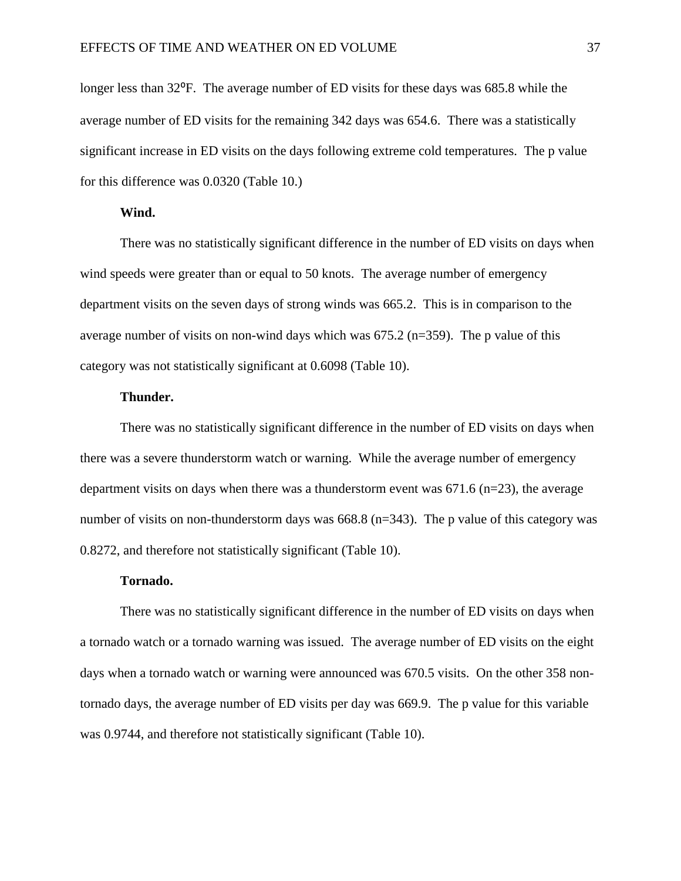longer less than 32<sup>o</sup>F. The average number of ED visits for these days was 685.8 while the average number of ED visits for the remaining 342 days was 654.6. There was a statistically significant increase in ED visits on the days following extreme cold temperatures. The p value for this difference was 0.0320 (Table 10.)

#### **Wind.**

There was no statistically significant difference in the number of ED visits on days when wind speeds were greater than or equal to 50 knots. The average number of emergency department visits on the seven days of strong winds was 665.2. This is in comparison to the average number of visits on non-wind days which was  $675.2$  (n=359). The p value of this category was not statistically significant at 0.6098 (Table 10).

## **Thunder.**

There was no statistically significant difference in the number of ED visits on days when there was a severe thunderstorm watch or warning. While the average number of emergency department visits on days when there was a thunderstorm event was  $671.6$  (n=23), the average number of visits on non-thunderstorm days was 668.8 (n=343). The p value of this category was 0.8272, and therefore not statistically significant (Table 10).

## **Tornado.**

There was no statistically significant difference in the number of ED visits on days when a tornado watch or a tornado warning was issued. The average number of ED visits on the eight days when a tornado watch or warning were announced was 670.5 visits. On the other 358 nontornado days, the average number of ED visits per day was 669.9. The p value for this variable was 0.9744, and therefore not statistically significant (Table 10).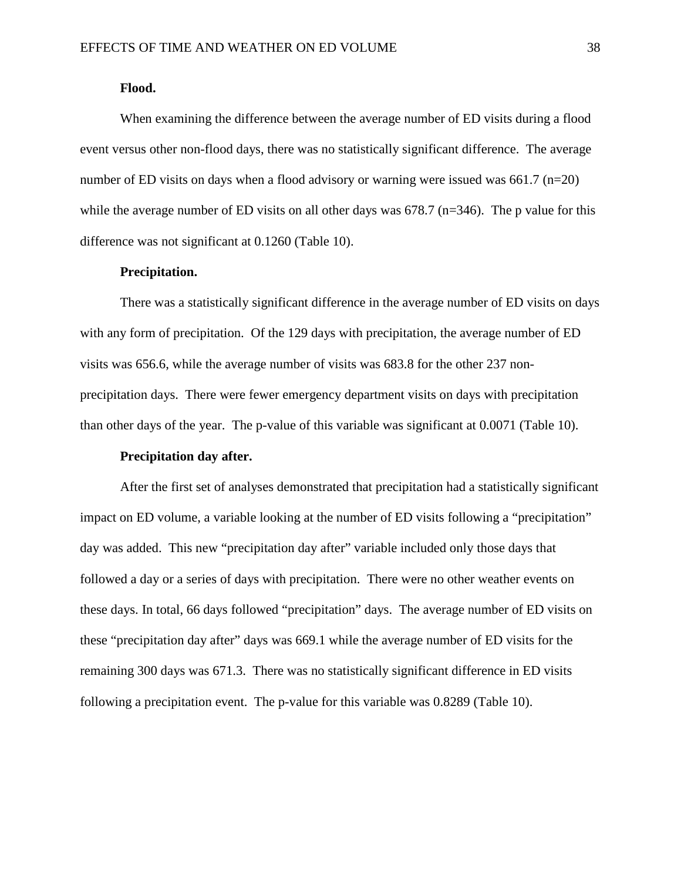#### **Flood.**

When examining the difference between the average number of ED visits during a flood event versus other non-flood days, there was no statistically significant difference. The average number of ED visits on days when a flood advisory or warning were issued was 661.7 ( $n=20$ ) while the average number of ED visits on all other days was 678.7 (n=346). The p value for this difference was not significant at 0.1260 (Table 10).

## **Precipitation.**

There was a statistically significant difference in the average number of ED visits on days with any form of precipitation. Of the 129 days with precipitation, the average number of ED visits was 656.6, while the average number of visits was 683.8 for the other 237 nonprecipitation days. There were fewer emergency department visits on days with precipitation than other days of the year. The p-value of this variable was significant at 0.0071 (Table 10).

#### **Precipitation day after.**

After the first set of analyses demonstrated that precipitation had a statistically significant impact on ED volume, a variable looking at the number of ED visits following a "precipitation" day was added. This new "precipitation day after" variable included only those days that followed a day or a series of days with precipitation. There were no other weather events on these days. In total, 66 days followed "precipitation" days. The average number of ED visits on these "precipitation day after" days was 669.1 while the average number of ED visits for the remaining 300 days was 671.3. There was no statistically significant difference in ED visits following a precipitation event. The p-value for this variable was 0.8289 (Table 10).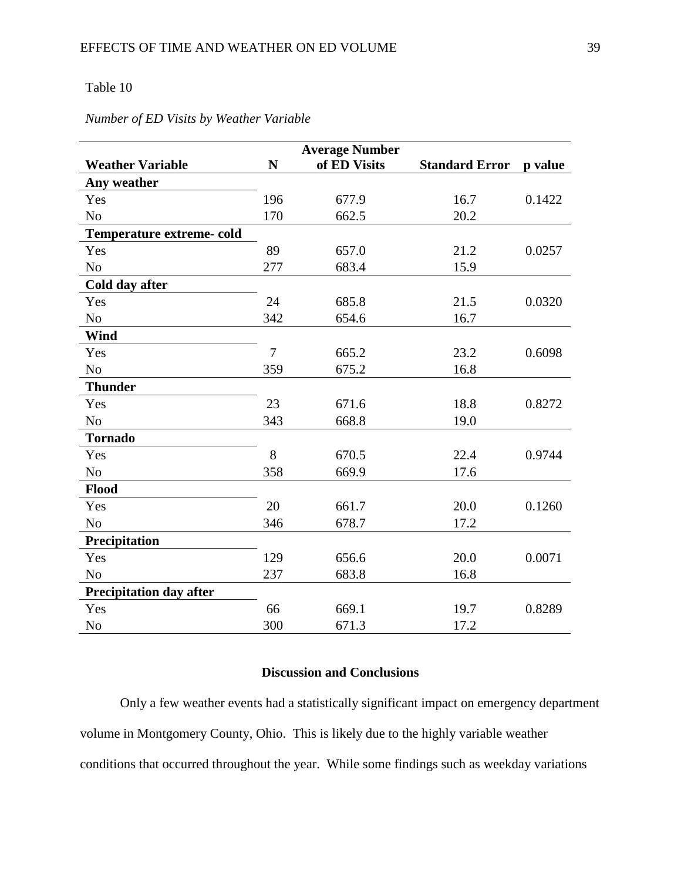## Table 10

|                                  |                | <b>Average Number</b> |                       |         |
|----------------------------------|----------------|-----------------------|-----------------------|---------|
| <b>Weather Variable</b>          | $\mathbf N$    | of ED Visits          | <b>Standard Error</b> | p value |
| Any weather                      |                |                       |                       |         |
| Yes                              | 196            | 677.9                 | 16.7                  | 0.1422  |
| N <sub>o</sub>                   | 170            | 662.5                 | 20.2                  |         |
| <b>Temperature extreme- cold</b> |                |                       |                       |         |
| Yes                              | 89             | 657.0                 | 21.2                  | 0.0257  |
| No                               | 277            | 683.4                 | 15.9                  |         |
| Cold day after                   |                |                       |                       |         |
| Yes                              | 24             | 685.8                 | 21.5                  | 0.0320  |
| N <sub>0</sub>                   | 342            | 654.6                 | 16.7                  |         |
| Wind                             |                |                       |                       |         |
| Yes                              | $\overline{7}$ | 665.2                 | 23.2                  | 0.6098  |
| N <sub>o</sub>                   | 359            | 675.2                 | 16.8                  |         |
| <b>Thunder</b>                   |                |                       |                       |         |
| Yes                              | 23             | 671.6                 | 18.8                  | 0.8272  |
| N <sub>o</sub>                   | 343            | 668.8                 | 19.0                  |         |
| <b>Tornado</b>                   |                |                       |                       |         |
| Yes                              | 8              | 670.5                 | 22.4                  | 0.9744  |
| N <sub>o</sub>                   | 358            | 669.9                 | 17.6                  |         |
| Flood                            |                |                       |                       |         |
| Yes                              | 20             | 661.7                 | 20.0                  | 0.1260  |
| N <sub>o</sub>                   | 346            | 678.7                 | 17.2                  |         |
| Precipitation                    |                |                       |                       |         |
| Yes                              | 129            | 656.6                 | 20.0                  | 0.0071  |
| N <sub>o</sub>                   | 237            | 683.8                 | 16.8                  |         |
| Precipitation day after          |                |                       |                       |         |
| Yes                              | 66             | 669.1                 | 19.7                  | 0.8289  |
| N <sub>o</sub>                   | 300            | 671.3                 | 17.2                  |         |

## *Number of ED Visits by Weather Variable*

## **Discussion and Conclusions**

Only a few weather events had a statistically significant impact on emergency department volume in Montgomery County, Ohio. This is likely due to the highly variable weather conditions that occurred throughout the year. While some findings such as weekday variations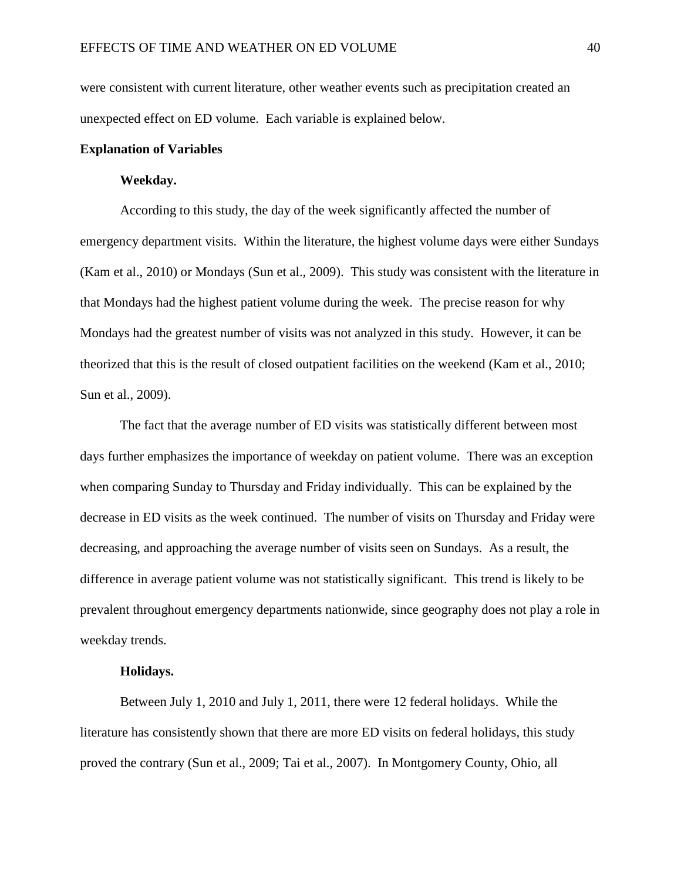were consistent with current literature, other weather events such as precipitation created an unexpected effect on ED volume. Each variable is explained below.

## **Explanation of Variables**

## **Weekday.**

According to this study, the day of the week significantly affected the number of emergency department visits. Within the literature, the highest volume days were either Sundays (Kam et al., 2010) or Mondays (Sun et al., 2009). This study was consistent with the literature in that Mondays had the highest patient volume during the week. The precise reason for why Mondays had the greatest number of visits was not analyzed in this study. However, it can be theorized that this is the result of closed outpatient facilities on the weekend (Kam et al., 2010; Sun et al., 2009).

The fact that the average number of ED visits was statistically different between most days further emphasizes the importance of weekday on patient volume. There was an exception when comparing Sunday to Thursday and Friday individually. This can be explained by the decrease in ED visits as the week continued. The number of visits on Thursday and Friday were decreasing, and approaching the average number of visits seen on Sundays. As a result, the difference in average patient volume was not statistically significant. This trend is likely to be prevalent throughout emergency departments nationwide, since geography does not play a role in weekday trends.

## **Holidays.**

Between July 1, 2010 and July 1, 2011, there were 12 federal holidays. While the literature has consistently shown that there are more ED visits on federal holidays, this study proved the contrary (Sun et al., 2009; Tai et al., 2007). In Montgomery County, Ohio, all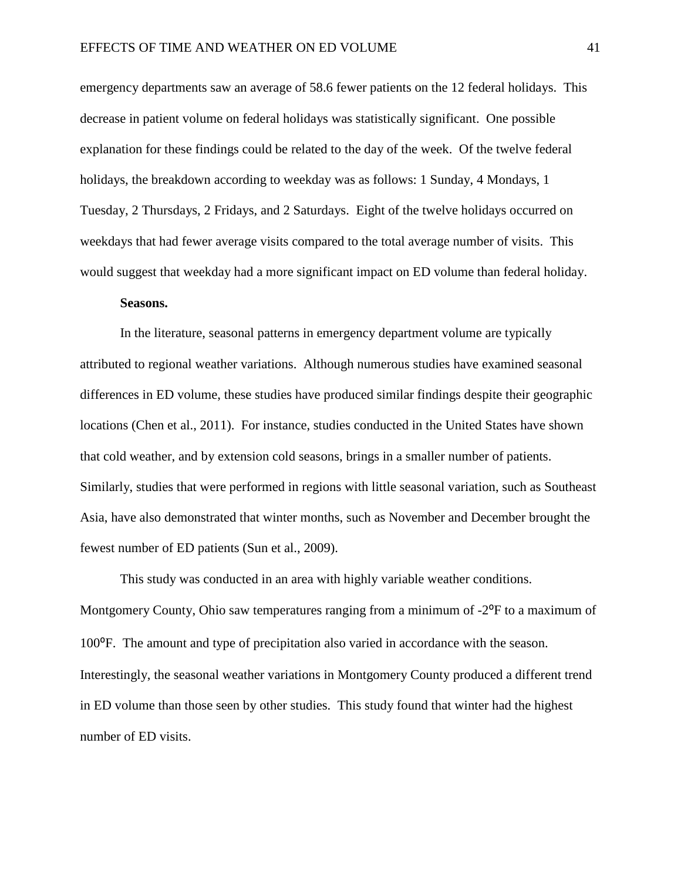emergency departments saw an average of 58.6 fewer patients on the 12 federal holidays. This decrease in patient volume on federal holidays was statistically significant. One possible explanation for these findings could be related to the day of the week. Of the twelve federal holidays, the breakdown according to weekday was as follows: 1 Sunday, 4 Mondays, 1 Tuesday, 2 Thursdays, 2 Fridays, and 2 Saturdays. Eight of the twelve holidays occurred on weekdays that had fewer average visits compared to the total average number of visits. This would suggest that weekday had a more significant impact on ED volume than federal holiday.

## **Seasons.**

In the literature, seasonal patterns in emergency department volume are typically attributed to regional weather variations. Although numerous studies have examined seasonal differences in ED volume, these studies have produced similar findings despite their geographic locations (Chen et al., 2011). For instance, studies conducted in the United States have shown that cold weather, and by extension cold seasons, brings in a smaller number of patients. Similarly, studies that were performed in regions with little seasonal variation, such as Southeast Asia, have also demonstrated that winter months, such as November and December brought the fewest number of ED patients (Sun et al., 2009).

This study was conducted in an area with highly variable weather conditions. Montgomery County, Ohio saw temperatures ranging from a minimum of  $-2^{\circ}F$  to a maximum of 100⁰F. The amount and type of precipitation also varied in accordance with the season. Interestingly, the seasonal weather variations in Montgomery County produced a different trend in ED volume than those seen by other studies. This study found that winter had the highest number of ED visits.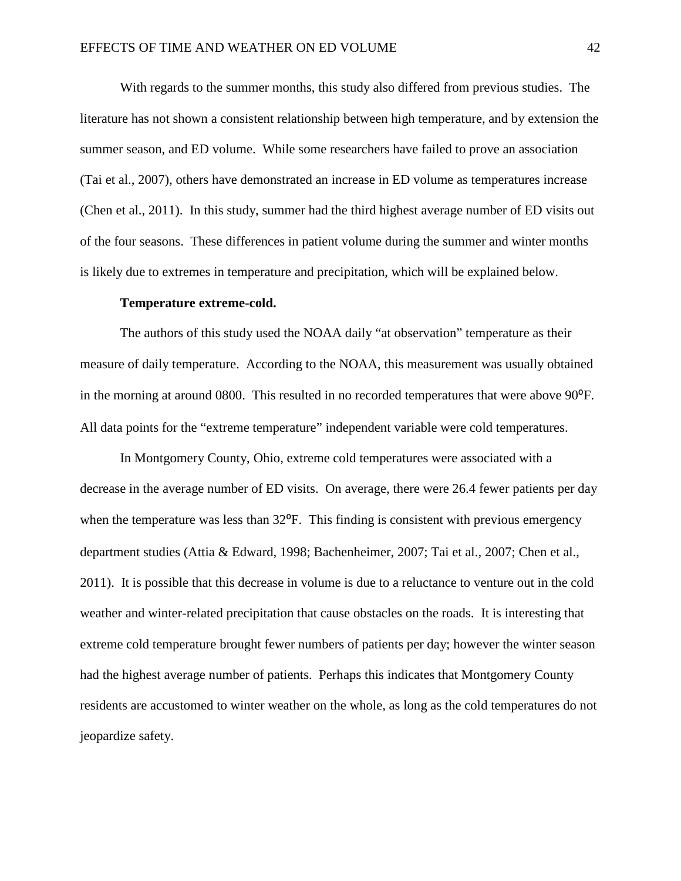With regards to the summer months, this study also differed from previous studies. The literature has not shown a consistent relationship between high temperature, and by extension the summer season, and ED volume. While some researchers have failed to prove an association (Tai et al., 2007), others have demonstrated an increase in ED volume as temperatures increase (Chen et al., 2011). In this study, summer had the third highest average number of ED visits out of the four seasons. These differences in patient volume during the summer and winter months is likely due to extremes in temperature and precipitation, which will be explained below.

#### **Temperature extreme-cold.**

The authors of this study used the NOAA daily "at observation" temperature as their measure of daily temperature. According to the NOAA, this measurement was usually obtained in the morning at around 0800. This resulted in no recorded temperatures that were above 90<sup>o</sup>F. All data points for the "extreme temperature" independent variable were cold temperatures.

In Montgomery County, Ohio, extreme cold temperatures were associated with a decrease in the average number of ED visits. On average, there were 26.4 fewer patients per day when the temperature was less than  $32^{\circ}$ F. This finding is consistent with previous emergency department studies (Attia & Edward, 1998; Bachenheimer, 2007; Tai et al., 2007; Chen et al., 2011). It is possible that this decrease in volume is due to a reluctance to venture out in the cold weather and winter-related precipitation that cause obstacles on the roads. It is interesting that extreme cold temperature brought fewer numbers of patients per day; however the winter season had the highest average number of patients. Perhaps this indicates that Montgomery County residents are accustomed to winter weather on the whole, as long as the cold temperatures do not jeopardize safety.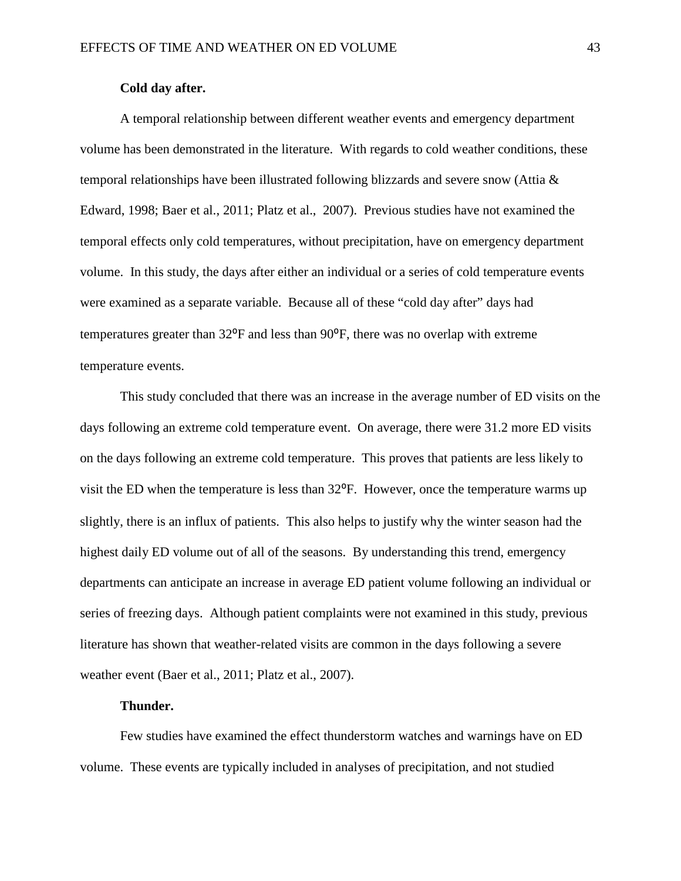## **Cold day after.**

A temporal relationship between different weather events and emergency department volume has been demonstrated in the literature. With regards to cold weather conditions, these temporal relationships have been illustrated following blizzards and severe snow (Attia & Edward, 1998; Baer et al., 2011; Platz et al., 2007). Previous studies have not examined the temporal effects only cold temperatures, without precipitation, have on emergency department volume. In this study, the days after either an individual or a series of cold temperature events were examined as a separate variable. Because all of these "cold day after" days had temperatures greater than  $32^{\circ}F$  and less than  $90^{\circ}F$ , there was no overlap with extreme temperature events.

This study concluded that there was an increase in the average number of ED visits on the days following an extreme cold temperature event. On average, there were 31.2 more ED visits on the days following an extreme cold temperature. This proves that patients are less likely to visit the ED when the temperature is less than 32<sup>o</sup>F. However, once the temperature warms up slightly, there is an influx of patients. This also helps to justify why the winter season had the highest daily ED volume out of all of the seasons. By understanding this trend, emergency departments can anticipate an increase in average ED patient volume following an individual or series of freezing days. Although patient complaints were not examined in this study, previous literature has shown that weather-related visits are common in the days following a severe weather event (Baer et al., 2011; Platz et al., 2007).

## **Thunder.**

Few studies have examined the effect thunderstorm watches and warnings have on ED volume. These events are typically included in analyses of precipitation, and not studied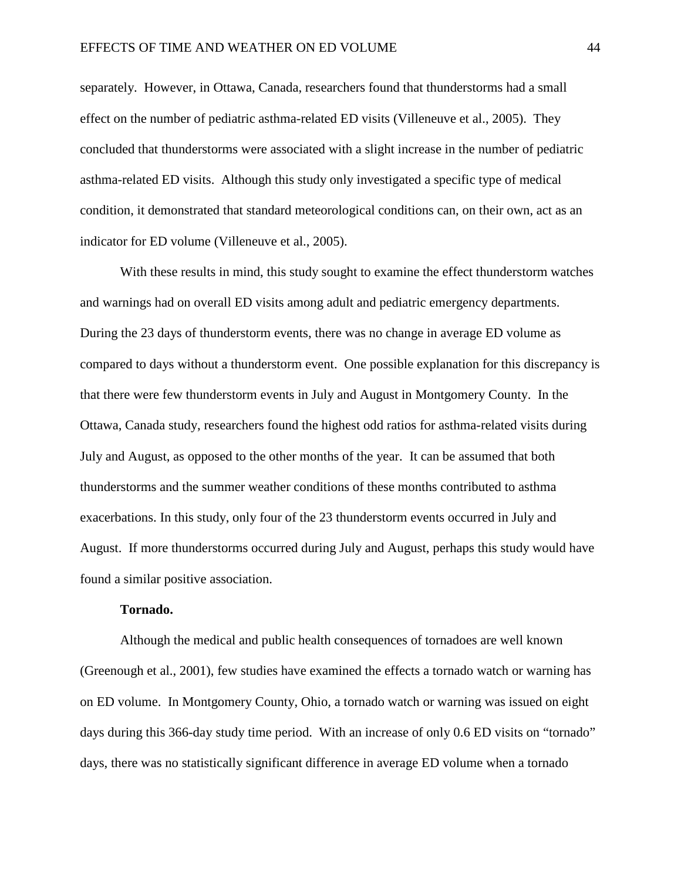separately. However, in Ottawa, Canada, researchers found that thunderstorms had a small effect on the number of pediatric asthma-related ED visits (Villeneuve et al., 2005). They concluded that thunderstorms were associated with a slight increase in the number of pediatric asthma-related ED visits. Although this study only investigated a specific type of medical condition, it demonstrated that standard meteorological conditions can, on their own, act as an indicator for ED volume (Villeneuve et al., 2005).

With these results in mind, this study sought to examine the effect thunderstorm watches and warnings had on overall ED visits among adult and pediatric emergency departments. During the 23 days of thunderstorm events, there was no change in average ED volume as compared to days without a thunderstorm event. One possible explanation for this discrepancy is that there were few thunderstorm events in July and August in Montgomery County. In the Ottawa, Canada study, researchers found the highest odd ratios for asthma-related visits during July and August, as opposed to the other months of the year. It can be assumed that both thunderstorms and the summer weather conditions of these months contributed to asthma exacerbations. In this study, only four of the 23 thunderstorm events occurred in July and August. If more thunderstorms occurred during July and August, perhaps this study would have found a similar positive association.

## **Tornado.**

Although the medical and public health consequences of tornadoes are well known (Greenough et al., 2001), few studies have examined the effects a tornado watch or warning has on ED volume. In Montgomery County, Ohio, a tornado watch or warning was issued on eight days during this 366-day study time period. With an increase of only 0.6 ED visits on "tornado" days, there was no statistically significant difference in average ED volume when a tornado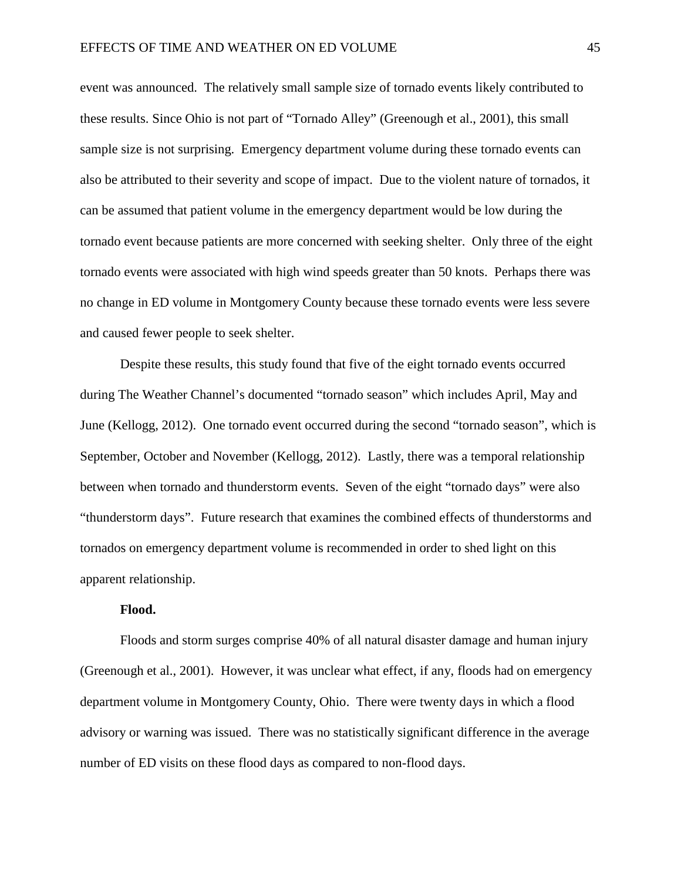event was announced. The relatively small sample size of tornado events likely contributed to these results. Since Ohio is not part of "Tornado Alley" (Greenough et al., 2001), this small sample size is not surprising. Emergency department volume during these tornado events can also be attributed to their severity and scope of impact. Due to the violent nature of tornados, it can be assumed that patient volume in the emergency department would be low during the tornado event because patients are more concerned with seeking shelter. Only three of the eight tornado events were associated with high wind speeds greater than 50 knots. Perhaps there was no change in ED volume in Montgomery County because these tornado events were less severe and caused fewer people to seek shelter.

Despite these results, this study found that five of the eight tornado events occurred during The Weather Channel's documented "tornado season" which includes April, May and June (Kellogg, 2012). One tornado event occurred during the second "tornado season", which is September, October and November (Kellogg, 2012). Lastly, there was a temporal relationship between when tornado and thunderstorm events. Seven of the eight "tornado days" were also "thunderstorm days". Future research that examines the combined effects of thunderstorms and tornados on emergency department volume is recommended in order to shed light on this apparent relationship.

## **Flood.**

Floods and storm surges comprise 40% of all natural disaster damage and human injury (Greenough et al., 2001). However, it was unclear what effect, if any, floods had on emergency department volume in Montgomery County, Ohio. There were twenty days in which a flood advisory or warning was issued. There was no statistically significant difference in the average number of ED visits on these flood days as compared to non-flood days.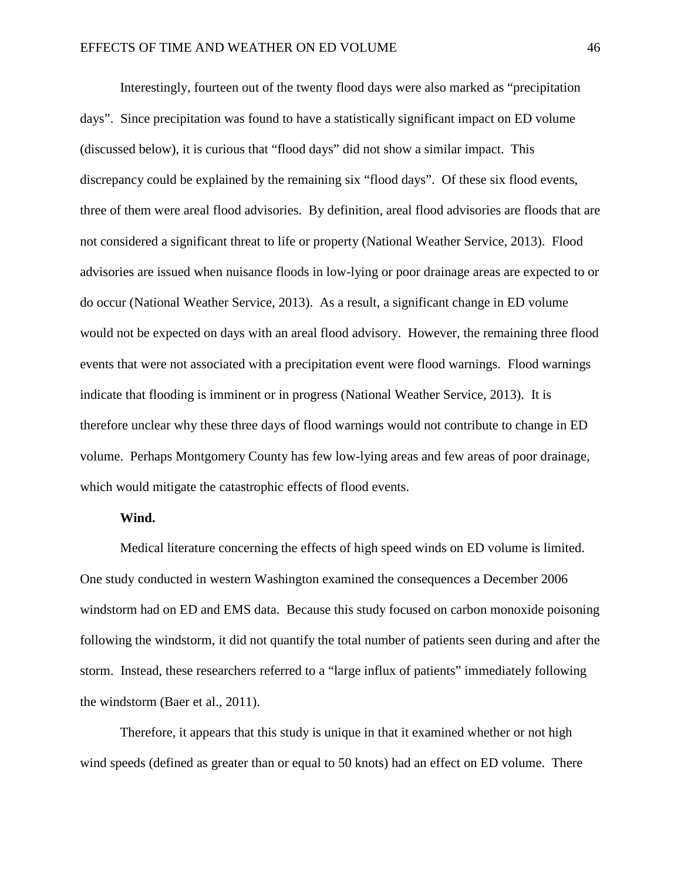Interestingly, fourteen out of the twenty flood days were also marked as "precipitation days". Since precipitation was found to have a statistically significant impact on ED volume (discussed below), it is curious that "flood days" did not show a similar impact. This discrepancy could be explained by the remaining six "flood days". Of these six flood events, three of them were areal flood advisories. By definition, areal flood advisories are floods that are not considered a significant threat to life or property (National Weather Service, 2013). Flood advisories are issued when nuisance floods in low-lying or poor drainage areas are expected to or do occur (National Weather Service, 2013). As a result, a significant change in ED volume would not be expected on days with an areal flood advisory. However, the remaining three flood events that were not associated with a precipitation event were flood warnings. Flood warnings indicate that flooding is imminent or in progress (National Weather Service, 2013). It is therefore unclear why these three days of flood warnings would not contribute to change in ED volume. Perhaps Montgomery County has few low-lying areas and few areas of poor drainage, which would mitigate the catastrophic effects of flood events.

## **Wind.**

Medical literature concerning the effects of high speed winds on ED volume is limited. One study conducted in western Washington examined the consequences a December 2006 windstorm had on ED and EMS data. Because this study focused on carbon monoxide poisoning following the windstorm, it did not quantify the total number of patients seen during and after the storm. Instead, these researchers referred to a "large influx of patients" immediately following the windstorm (Baer et al., 2011).

Therefore, it appears that this study is unique in that it examined whether or not high wind speeds (defined as greater than or equal to 50 knots) had an effect on ED volume. There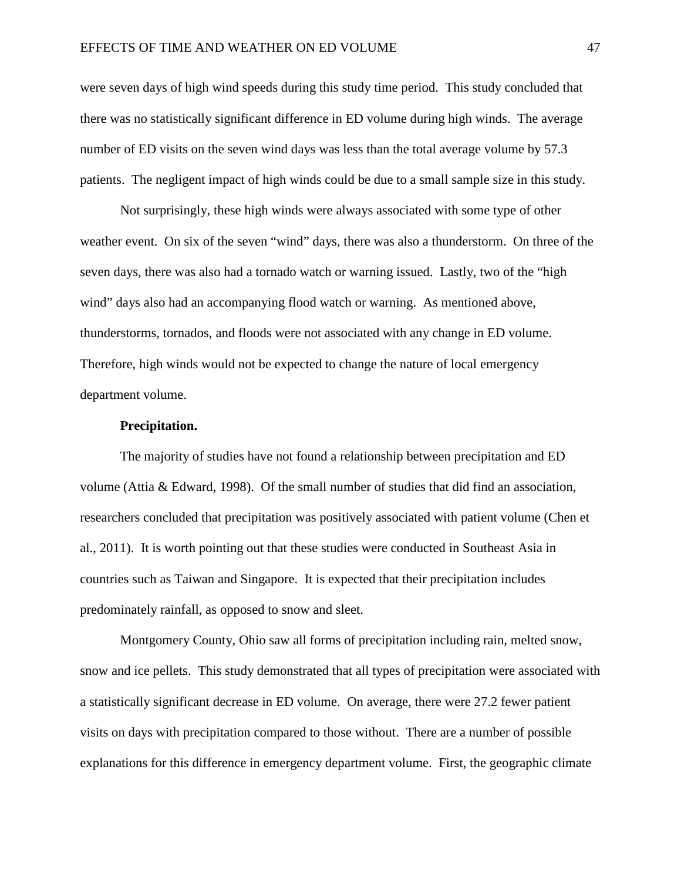were seven days of high wind speeds during this study time period. This study concluded that there was no statistically significant difference in ED volume during high winds. The average number of ED visits on the seven wind days was less than the total average volume by 57.3 patients. The negligent impact of high winds could be due to a small sample size in this study.

Not surprisingly, these high winds were always associated with some type of other weather event. On six of the seven "wind" days, there was also a thunderstorm. On three of the seven days, there was also had a tornado watch or warning issued. Lastly, two of the "high wind" days also had an accompanying flood watch or warning. As mentioned above, thunderstorms, tornados, and floods were not associated with any change in ED volume. Therefore, high winds would not be expected to change the nature of local emergency department volume.

## **Precipitation.**

The majority of studies have not found a relationship between precipitation and ED volume (Attia & Edward, 1998). Of the small number of studies that did find an association, researchers concluded that precipitation was positively associated with patient volume (Chen et al., 2011). It is worth pointing out that these studies were conducted in Southeast Asia in countries such as Taiwan and Singapore. It is expected that their precipitation includes predominately rainfall, as opposed to snow and sleet.

Montgomery County, Ohio saw all forms of precipitation including rain, melted snow, snow and ice pellets. This study demonstrated that all types of precipitation were associated with a statistically significant decrease in ED volume. On average, there were 27.2 fewer patient visits on days with precipitation compared to those without. There are a number of possible explanations for this difference in emergency department volume. First, the geographic climate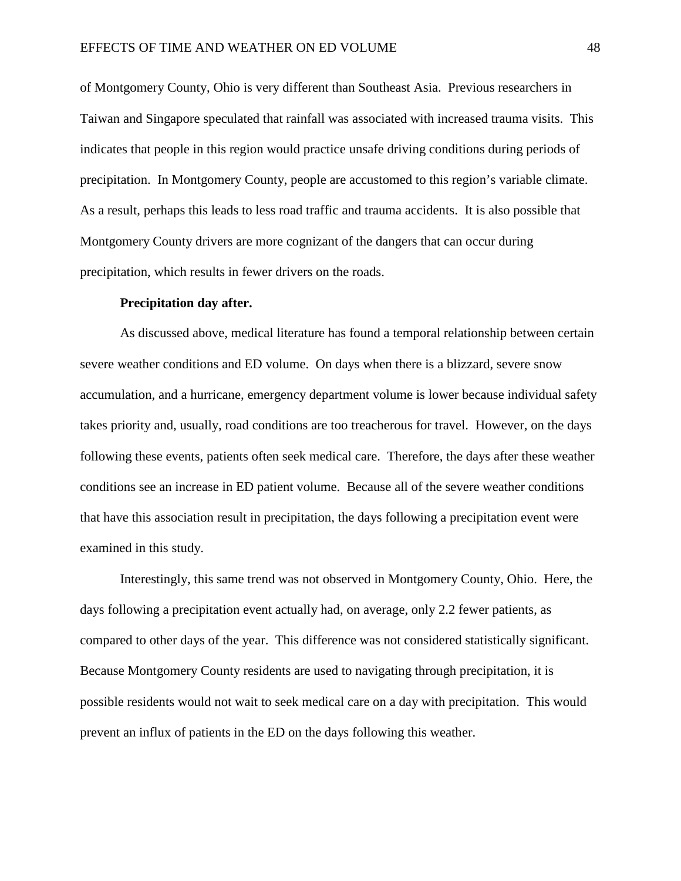of Montgomery County, Ohio is very different than Southeast Asia. Previous researchers in Taiwan and Singapore speculated that rainfall was associated with increased trauma visits. This indicates that people in this region would practice unsafe driving conditions during periods of precipitation. In Montgomery County, people are accustomed to this region's variable climate. As a result, perhaps this leads to less road traffic and trauma accidents. It is also possible that Montgomery County drivers are more cognizant of the dangers that can occur during precipitation, which results in fewer drivers on the roads.

#### **Precipitation day after.**

As discussed above, medical literature has found a temporal relationship between certain severe weather conditions and ED volume. On days when there is a blizzard, severe snow accumulation, and a hurricane, emergency department volume is lower because individual safety takes priority and, usually, road conditions are too treacherous for travel. However, on the days following these events, patients often seek medical care. Therefore, the days after these weather conditions see an increase in ED patient volume. Because all of the severe weather conditions that have this association result in precipitation, the days following a precipitation event were examined in this study.

Interestingly, this same trend was not observed in Montgomery County, Ohio. Here, the days following a precipitation event actually had, on average, only 2.2 fewer patients, as compared to other days of the year. This difference was not considered statistically significant. Because Montgomery County residents are used to navigating through precipitation, it is possible residents would not wait to seek medical care on a day with precipitation. This would prevent an influx of patients in the ED on the days following this weather.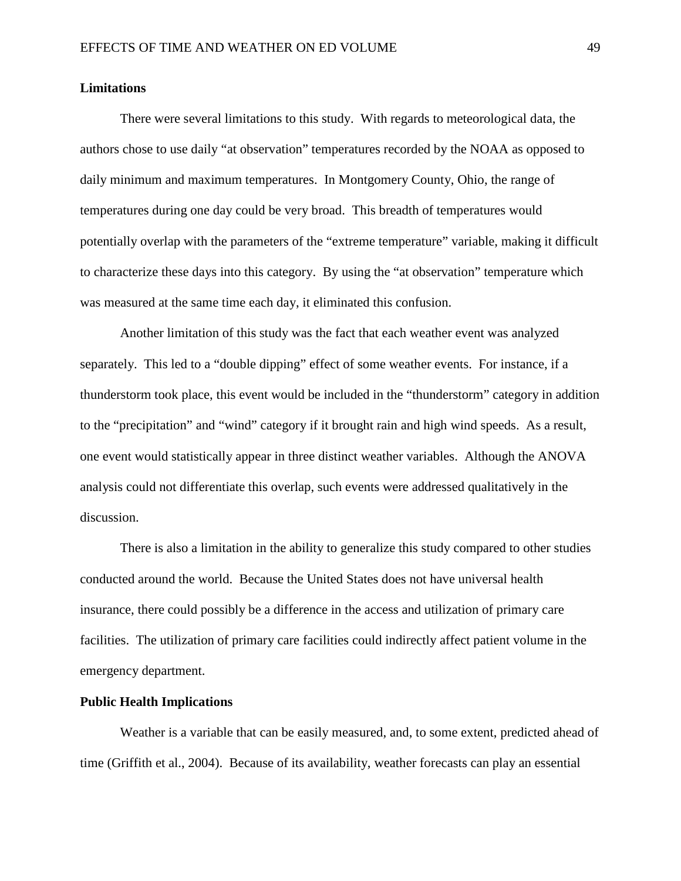## **Limitations**

There were several limitations to this study. With regards to meteorological data, the authors chose to use daily "at observation" temperatures recorded by the NOAA as opposed to daily minimum and maximum temperatures. In Montgomery County, Ohio, the range of temperatures during one day could be very broad. This breadth of temperatures would potentially overlap with the parameters of the "extreme temperature" variable, making it difficult to characterize these days into this category. By using the "at observation" temperature which was measured at the same time each day, it eliminated this confusion.

Another limitation of this study was the fact that each weather event was analyzed separately. This led to a "double dipping" effect of some weather events. For instance, if a thunderstorm took place, this event would be included in the "thunderstorm" category in addition to the "precipitation" and "wind" category if it brought rain and high wind speeds. As a result, one event would statistically appear in three distinct weather variables. Although the ANOVA analysis could not differentiate this overlap, such events were addressed qualitatively in the discussion.

There is also a limitation in the ability to generalize this study compared to other studies conducted around the world. Because the United States does not have universal health insurance, there could possibly be a difference in the access and utilization of primary care facilities. The utilization of primary care facilities could indirectly affect patient volume in the emergency department.

## **Public Health Implications**

Weather is a variable that can be easily measured, and, to some extent, predicted ahead of time (Griffith et al., 2004). Because of its availability, weather forecasts can play an essential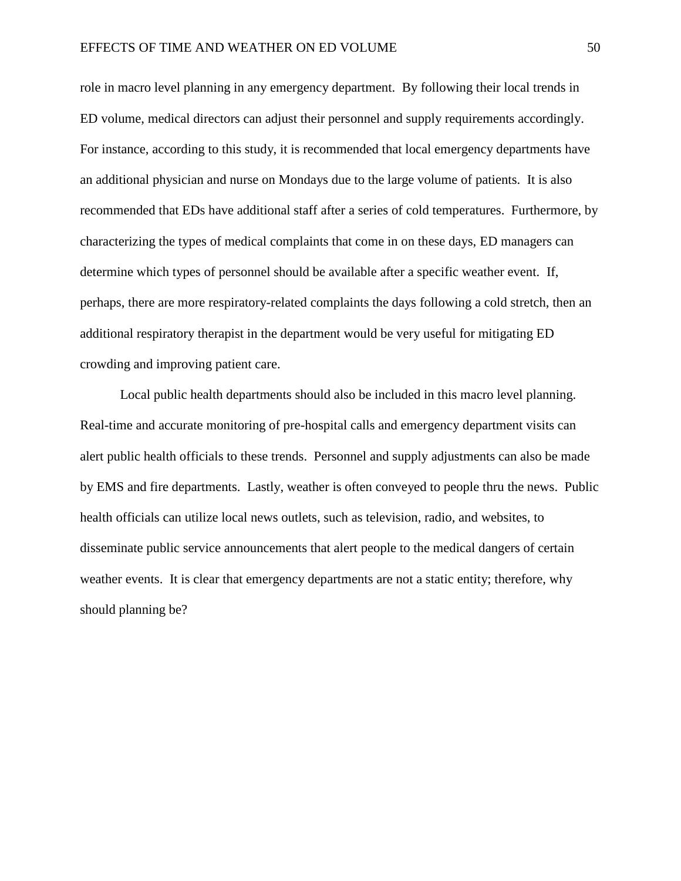role in macro level planning in any emergency department. By following their local trends in ED volume, medical directors can adjust their personnel and supply requirements accordingly. For instance, according to this study, it is recommended that local emergency departments have an additional physician and nurse on Mondays due to the large volume of patients. It is also recommended that EDs have additional staff after a series of cold temperatures. Furthermore, by characterizing the types of medical complaints that come in on these days, ED managers can determine which types of personnel should be available after a specific weather event. If, perhaps, there are more respiratory-related complaints the days following a cold stretch, then an additional respiratory therapist in the department would be very useful for mitigating ED crowding and improving patient care.

Local public health departments should also be included in this macro level planning. Real-time and accurate monitoring of pre-hospital calls and emergency department visits can alert public health officials to these trends. Personnel and supply adjustments can also be made by EMS and fire departments. Lastly, weather is often conveyed to people thru the news. Public health officials can utilize local news outlets, such as television, radio, and websites, to disseminate public service announcements that alert people to the medical dangers of certain weather events. It is clear that emergency departments are not a static entity; therefore, why should planning be?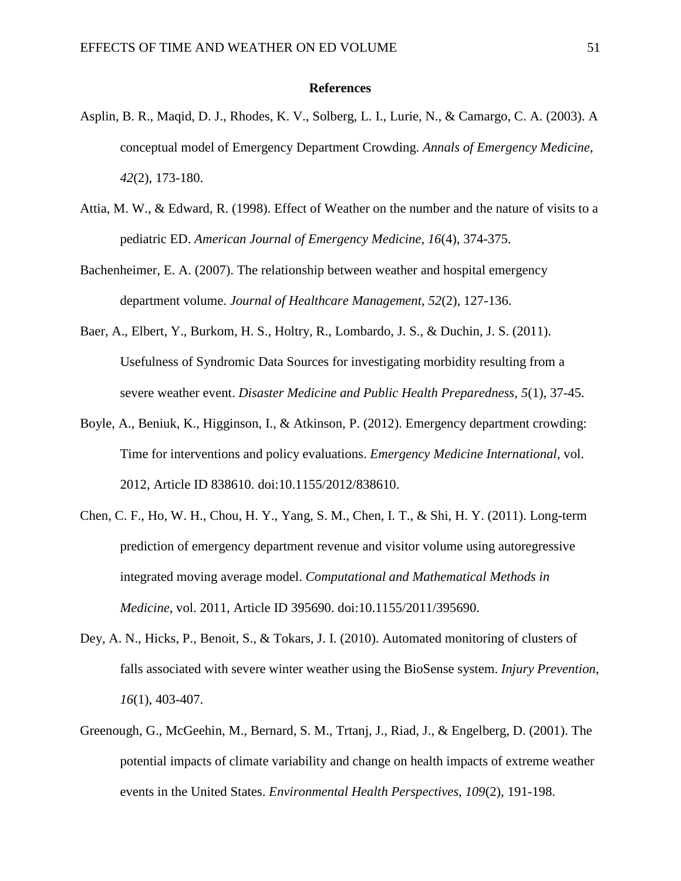#### **References**

- Asplin, B. R., Maqid, D. J., Rhodes, K. V., Solberg, L. I., Lurie, N., & Camargo, C. A. (2003). A conceptual model of Emergency Department Crowding. *Annals of Emergency Medicine*, *42*(2), 173-180.
- Attia, M. W., & Edward, R. (1998). Effect of Weather on the number and the nature of visits to a pediatric ED. *American Journal of Emergency Medicine, 16*(4), 374-375.
- Bachenheimer, E. A. (2007). The relationship between weather and hospital emergency department volume. *Journal of Healthcare Management*, *52*(2), 127-136.
- Baer, A., Elbert, Y., Burkom, H. S., Holtry, R., Lombardo, J. S., & Duchin, J. S. (2011). Usefulness of Syndromic Data Sources for investigating morbidity resulting from a severe weather event. *Disaster Medicine and Public Health Preparedness, 5*(1), 37-45.
- Boyle, A., Beniuk, K., Higginson, I., & Atkinson, P. (2012). Emergency department crowding: Time for interventions and policy evaluations. *Emergency Medicine International*, vol. 2012, Article ID 838610. doi:10.1155/2012/838610.
- Chen, C. F., Ho, W. H., Chou, H. Y., Yang, S. M., Chen, I. T., & Shi, H. Y. (2011). Long-term prediction of emergency department revenue and visitor volume using autoregressive integrated moving average model. *Computational and Mathematical Methods in Medicine*, vol. 2011, Article ID 395690. doi:10.1155/2011/395690.
- Dey, A. N., Hicks, P., Benoit, S., & Tokars, J. I. (2010). Automated monitoring of clusters of falls associated with severe winter weather using the BioSense system. *Injury Prevention*, *16*(1), 403-407.
- Greenough, G., McGeehin, M., Bernard, S. M., Trtanj, J., Riad, J., & Engelberg, D. (2001). The potential impacts of climate variability and change on health impacts of extreme weather events in the United States. *Environmental Health Perspectives*, *109*(2), 191-198.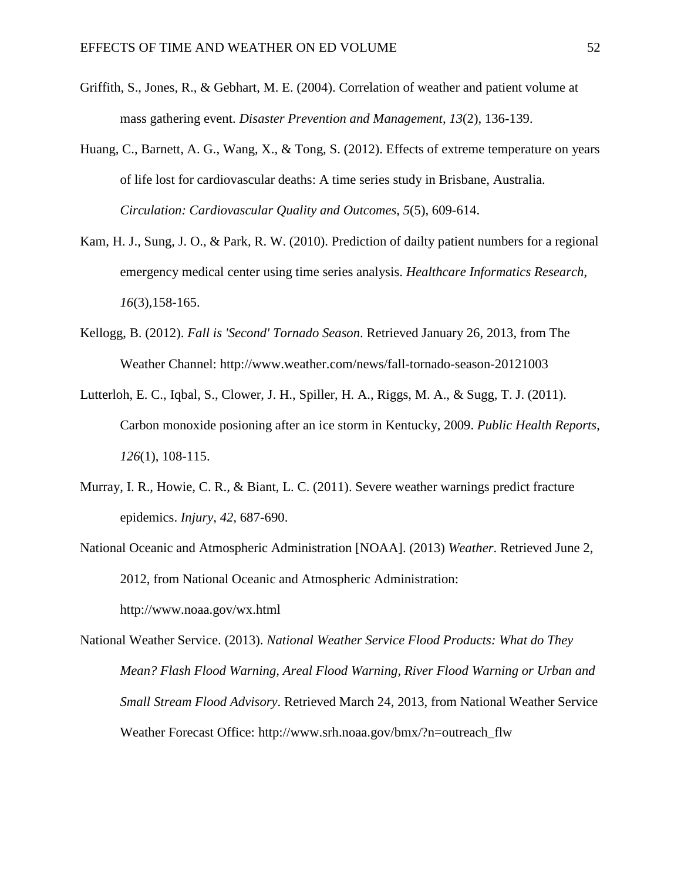- Griffith, S., Jones, R., & Gebhart, M. E. (2004). Correlation of weather and patient volume at mass gathering event. *Disaster Prevention and Management, 13*(2), 136-139.
- Huang, C., Barnett, A. G., Wang, X., & Tong, S. (2012). Effects of extreme temperature on years of life lost for cardiovascular deaths: A time series study in Brisbane, Australia. *Circulation: Cardiovascular Quality and Outcomes*, *5*(5), 609-614.
- Kam, H. J., Sung, J. O., & Park, R. W. (2010). Prediction of dailty patient numbers for a regional emergency medical center using time series analysis. *Healthcare Informatics Research*, *16*(3),158-165.
- Kellogg, B. (2012). *Fall is 'Second' Tornado Season*. Retrieved January 26, 2013, from The Weather Channel: http://www.weather.com/news/fall-tornado-season-20121003
- Lutterloh, E. C., Iqbal, S., Clower, J. H., Spiller, H. A., Riggs, M. A., & Sugg, T. J. (2011). Carbon monoxide posioning after an ice storm in Kentucky, 2009. *Public Health Reports*, *126*(1), 108-115.
- Murray, I. R., Howie, C. R., & Biant, L. C. (2011). Severe weather warnings predict fracture epidemics. *Injury*, *42,* 687-690.
- National Oceanic and Atmospheric Administration [NOAA]. (2013) *Weather*. Retrieved June 2, 2012, from National Oceanic and Atmospheric Administration: <http://www.noaa.gov/wx.html>

National Weather Service. (2013). *National Weather Service Flood Products: What do They Mean? Flash Flood Warning, Areal Flood Warning, River Flood Warning or Urban and Small Stream Flood Advisory*. Retrieved March 24, 2013, from National Weather Service Weather Forecast Office: http://www.srh.noaa.gov/bmx/?n=outreach\_flw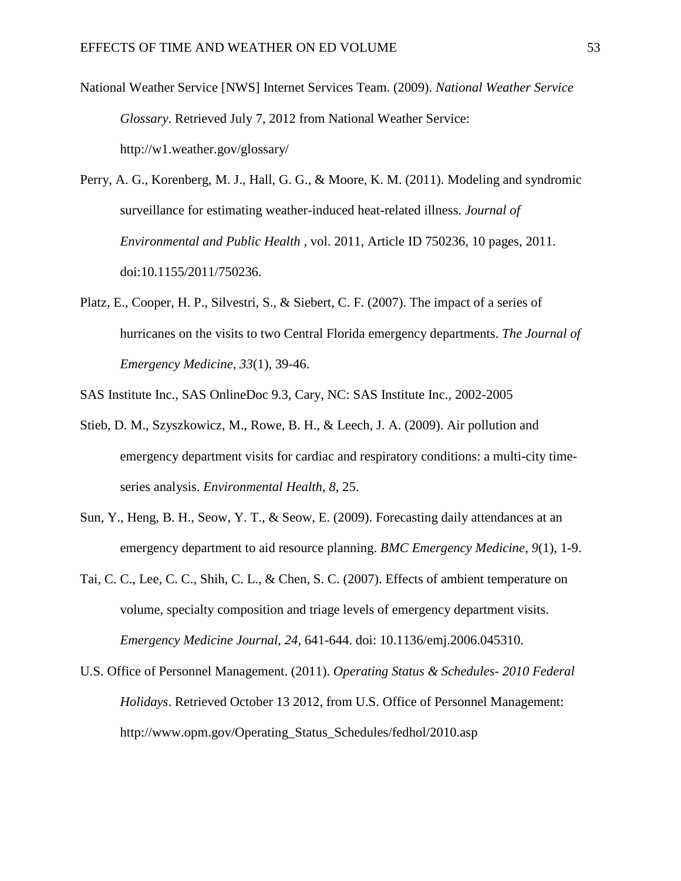- National Weather Service [NWS] Internet Services Team. (2009). *National Weather Service Glossary*. Retrieved July 7, 2012 from National Weather Service: http://w1.weather.gov/glossary/
- Perry, A. G., Korenberg, M. J., Hall, G. G., & Moore, K. M. (2011). Modeling and syndromic surveillance for estimating weather-induced heat-related illness. *Journal of Environmental and Public Health* , vol. 2011, Article ID 750236, 10 pages, 2011. doi:10.1155/2011/750236.
- Platz, E., Cooper, H. P., Silvestri, S., & Siebert, C. F. (2007). The impact of a series of hurricanes on the visits to two Central Florida emergency departments. *The Journal of Emergency Medicine, 33*(1), 39-46.

SAS Institute Inc., SAS OnlineDoc 9.3, Cary, NC: SAS Institute Inc., 2002-2005

- Stieb, D. M., Szyszkowicz, M., Rowe, B. H., & Leech, J. A. (2009). Air pollution and emergency department visits for cardiac and respiratory conditions: a multi-city timeseries analysis. *Environmental Health*, *8*, 25.
- Sun, Y., Heng, B. H., Seow, Y. T., & Seow, E. (2009). Forecasting daily attendances at an emergency department to aid resource planning. *BMC Emergency Medicine*, *9*(1), 1-9.
- Tai, C. C., Lee, C. C., Shih, C. L., & Chen, S. C. (2007). Effects of ambient temperature on volume, specialty composition and triage levels of emergency department visits. *Emergency Medicine Journal*, *24,* 641-644. doi: 10.1136/emj.2006.045310.
- U.S. Office of Personnel Management. (2011). *Operating Status & Schedules- 2010 Federal Holidays*. Retrieved October 13 2012, from U.S. Office of Personnel Management: http://www.opm.gov/Operating\_Status\_Schedules/fedhol/2010.asp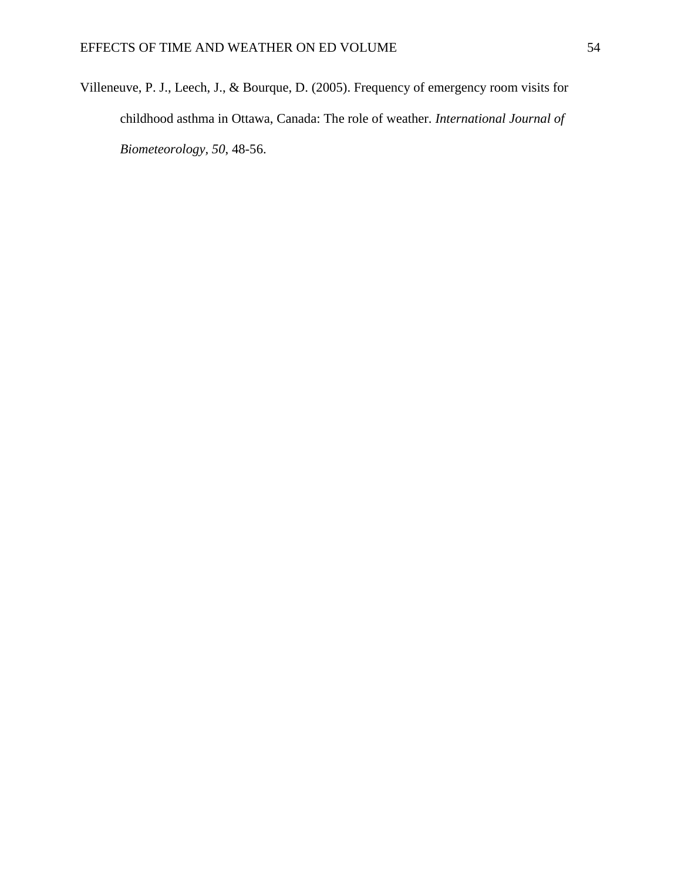Villeneuve, P. J., Leech, J., & Bourque, D. (2005). Frequency of emergency room visits for childhood asthma in Ottawa, Canada: The role of weather. *International Journal of Biometeorology, 50*, 48-56.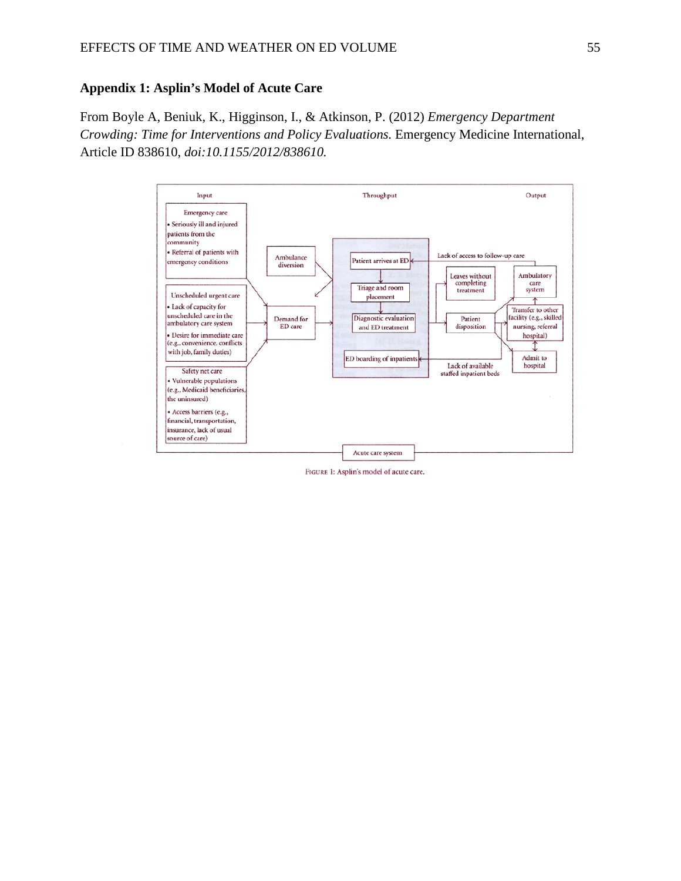## **Appendix 1: Asplin's Model of Acute Care**

From Boyle A, Beniuk, K., Higginson, I., & Atkinson, P. (2012) *Emergency Department Crowding: Time for Interventions and Policy Evaluations.* Emergency Medicine International, Article ID 838610, *doi:10.1155/2012/838610.* 



FIGURE 1: Asplin's model of acute care.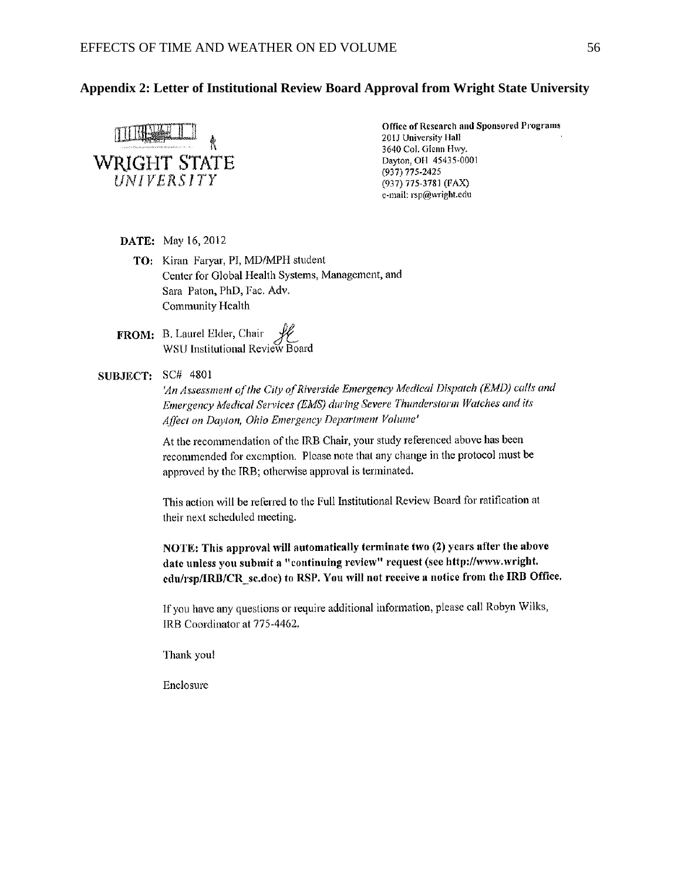## **Appendix 2: Letter of Institutional Review Board Approval from Wright State University**



Office of Research and Sponsored Programs 201J University Hall 3640 Col. Glenn Hwy. Dayton, OH 45435-0001 (937) 775-2425 (937) 775-3781 (FAX) e-mail: rsp@wright.edu

#### DATE: May 16, 2012

- TO: Kiran Faryar, PI, MD/MPH student Center for Global Health Systems, Management, and Sara Paton, PhD, Fac. Adv. Community Health
- **FROM:** B. Laurel Elder, Chair<br>WSU Institutional Review Board

## **SUBJECT: SC# 4801**

'An Assessment of the City of Riverside Emergency Medical Dispatch (EMD) calls and Emergency Medical Services (EMS) during Severe Thunderstorm Watches and its Affect on Dayton, Ohio Emergency Department Volume'

At the recommendation of the IRB Chair, your study referenced above has been recommended for exemption. Please note that any change in the protocol must be approved by the IRB; otherwise approval is terminated.

This action will be referred to the Full Institutional Review Board for ratification at their next scheduled meeting.

NOTE: This approval will automatically terminate two (2) years after the above date unless you submit a "continuing review" request (see http://www.wright. edu/rsp/IRB/CR sc.doe) to RSP. You will not receive a notice from the IRB Office.

If you have any questions or require additional information, please call Robyn Wilks, IRB Coordinator at 775-4462.

Thank you!

Enclosure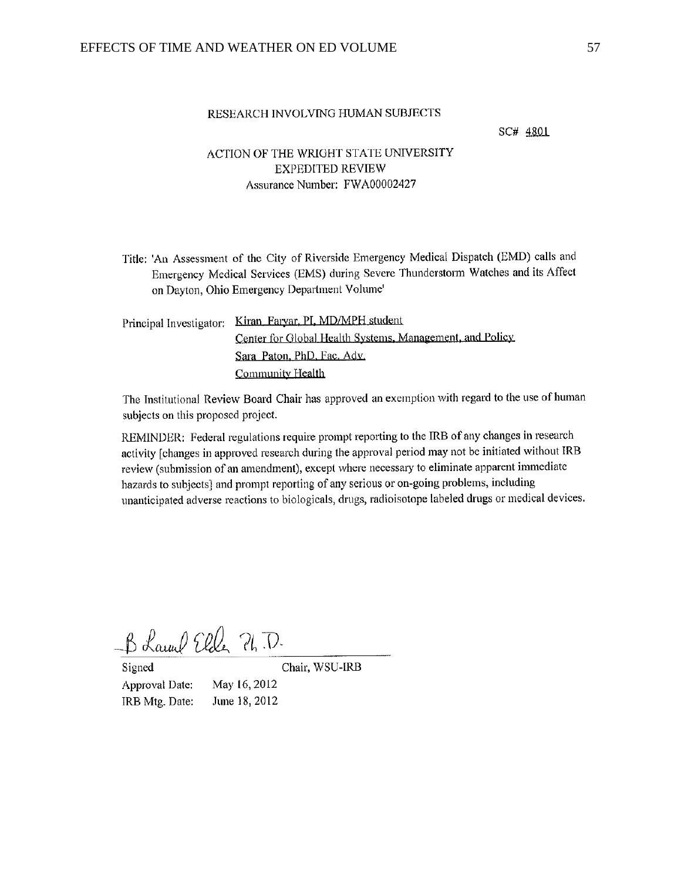#### RESEARCH INVOLVING HUMAN SUBJECTS

SC# 4801

## ACTION OF THE WRIGHT STATE UNIVERSITY **EXPEDITED REVIEW** Assurance Number: FWA00002427

Title: 'An Assessment of the City of Riverside Emergency Medical Dispatch (EMD) calls and Emergency Medical Services (EMS) during Severe Thunderstorm Watches and its Affect on Dayton, Ohio Emergency Department Volume'

Principal Investigator: Kiran\_Faryar, PI, MD/MPH student Center for Global Health Systems, Management, and Policy Sara Paton, PhD, Fac. Adv. Community Health

The Institutional Review Board Chair has approved an exemption with regard to the use of human subjects on this proposed project.

REMINDER: Federal regulations require prompt reporting to the IRB of any changes in research activity [changes in approved research during the approval period may not be initiated without IRB review (submission of an amendment), except where necessary to eliminate apparent immediate hazards to subjects] and prompt reporting of any serious or on-going problems, including unanticipated adverse reactions to biologicals, drugs, radioisotope labeled drugs or medical devices.

B Laund Eller Ph.D.

Signed Approval Date: IRB Mtg. Date: Chair, WSU-IRB

May 16, 2012 June 18, 2012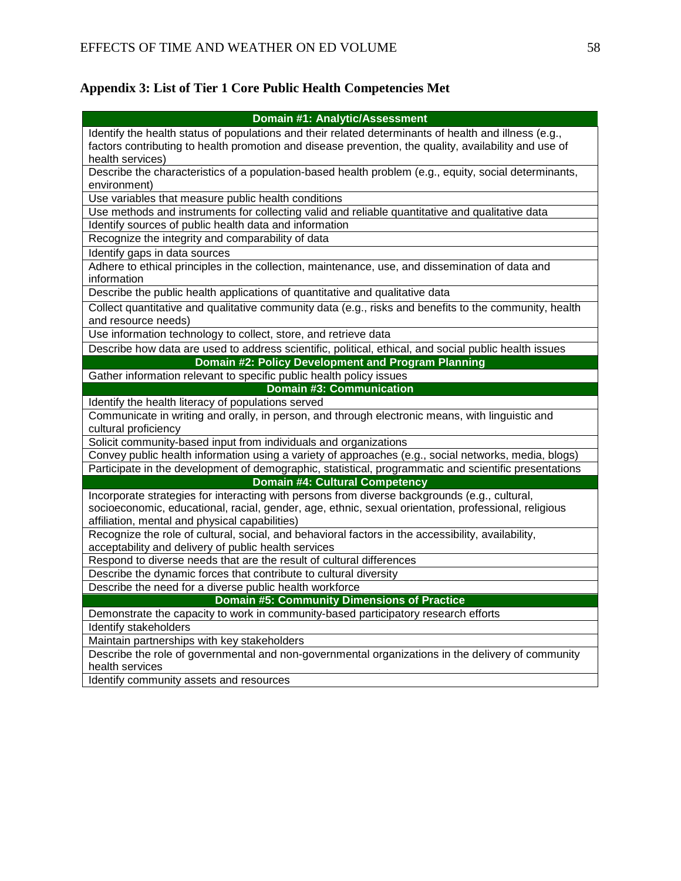# **Appendix 3: List of Tier 1 Core Public Health Competencies Met**

| Domain #1: Analytic/Assessment                                                                         |
|--------------------------------------------------------------------------------------------------------|
| Identify the health status of populations and their related determinants of health and illness (e.g.,  |
| factors contributing to health promotion and disease prevention, the quality, availability and use of  |
| health services)                                                                                       |
| Describe the characteristics of a population-based health problem (e.g., equity, social determinants,  |
| environment)                                                                                           |
| Use variables that measure public health conditions                                                    |
| Use methods and instruments for collecting valid and reliable quantitative and qualitative data        |
| Identify sources of public health data and information                                                 |
| Recognize the integrity and comparability of data                                                      |
| Identify gaps in data sources                                                                          |
| Adhere to ethical principles in the collection, maintenance, use, and dissemination of data and        |
| information                                                                                            |
| Describe the public health applications of quantitative and qualitative data                           |
| Collect quantitative and qualitative community data (e.g., risks and benefits to the community, health |
| and resource needs)                                                                                    |
| Use information technology to collect, store, and retrieve data                                        |
| Describe how data are used to address scientific, political, ethical, and social public health issues  |
| Domain #2: Policy Development and Program Planning                                                     |
| Gather information relevant to specific public health policy issues                                    |
| <b>Domain #3: Communication</b>                                                                        |
| Identify the health literacy of populations served                                                     |
| Communicate in writing and orally, in person, and through electronic means, with linguistic and        |
| cultural proficiency                                                                                   |
| Solicit community-based input from individuals and organizations                                       |
| Convey public health information using a variety of approaches (e.g., social networks, media, blogs)   |
| Participate in the development of demographic, statistical, programmatic and scientific presentations  |
| <b>Domain #4: Cultural Competency</b>                                                                  |
| Incorporate strategies for interacting with persons from diverse backgrounds (e.g., cultural,          |
| socioeconomic, educational, racial, gender, age, ethnic, sexual orientation, professional, religious   |
| affiliation, mental and physical capabilities)                                                         |
| Recognize the role of cultural, social, and behavioral factors in the accessibility, availability,     |
| acceptability and delivery of public health services                                                   |
| Respond to diverse needs that are the result of cultural differences                                   |
| Describe the dynamic forces that contribute to cultural diversity                                      |
| Describe the need for a diverse public health workforce                                                |
| <b>Domain #5: Community Dimensions of Practice</b>                                                     |
| Demonstrate the capacity to work in community-based participatory research efforts                     |
| Identify stakeholders                                                                                  |
| Maintain partnerships with key stakeholders                                                            |
| Describe the role of governmental and non-governmental organizations in the delivery of community      |
| health services                                                                                        |
| Identify community assets and resources                                                                |